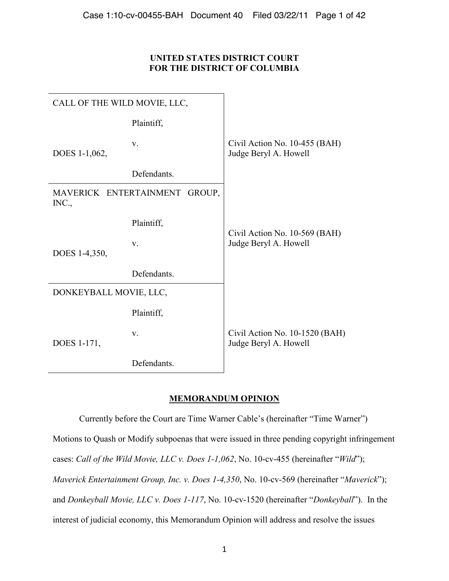# **UNITED STATES DISTRICT COURT FOR THE DISTRICT OF COLUMBIA**

| CALL OF THE WILD MOVIE, LLC,              |             |                                                         |
|-------------------------------------------|-------------|---------------------------------------------------------|
|                                           | Plaintiff,  |                                                         |
| DOES 1-1,062,                             | V.          | Civil Action No. 10-455 (BAH)<br>Judge Beryl A. Howell  |
|                                           | Defendants. |                                                         |
| MAVERICK ENTERTAINMENT<br>GROUP,<br>INC., |             |                                                         |
|                                           | Plaintiff,  |                                                         |
| DOES 1-4,350,                             | V.          | Civil Action No. 10-569 (BAH)<br>Judge Beryl A. Howell  |
|                                           | Defendants. |                                                         |
| DONKEYBALL MOVIE, LLC,                    |             |                                                         |
|                                           | Plaintiff,  |                                                         |
| DOES 1-171,                               | V.          | Civil Action No. 10-1520 (BAH)<br>Judge Beryl A. Howell |
|                                           | Defendants. |                                                         |

# **MEMORANDUM OPINION**

<span id="page-0-0"></span>Currently before the Court are Time Warner Cable's (hereinafter "Time Warner") Motions to Quash or Modify subpoenas that were issued in three pending copyright infringement cases: *Call of the Wild Movie, LLC v. Does 1-1,062*, No. 10-cv-455 (hereinafter "*Wild*"); *Maverick Entertainment Group, Inc. v. Does 1-4,350*, No. 10-cv-569 (hereinafter "*Maverick*"); and *Donkeyball Movie, LLC v. Does 1-117*, No. 10-cv-1520 (hereinafter "*Donkeyball*"). In the interest of judicial economy, this Memorandum Opinion will address and resolve the issues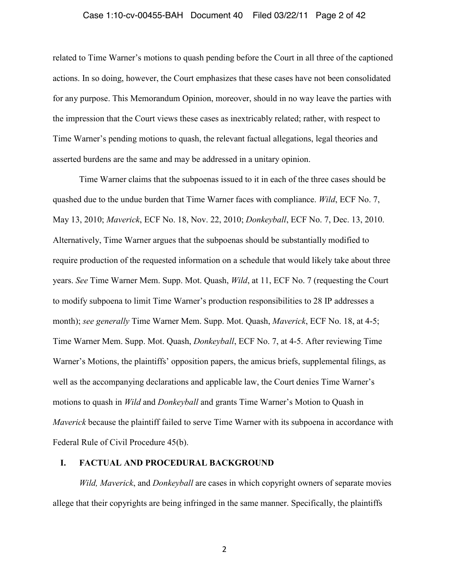### Case 1:10-cv-00455-BAH Document 40 Filed 03/22/11 Page 2 of 42

related to Time Warner's motions to quash pending before the Court in all three of the captioned actions. In so doing, however, the Court emphasizes that these cases have not been consolidated for any purpose. This Memorandum Opinion, moreover, should in no way leave the parties with the impression that the Court views these cases as inextricably related; rather, with respect to Time Warner's pending motions to quash, the relevant factual allegations, legal theories and asserted burdens are the same and may be addressed in a unitary opinion.

Time Warner claims that the subpoenas issued to it in each of the three cases should be quashed due to the undue burden that Time Warner faces with compliance. *Wild*, ECF No. 7, May 13, 2010; *Maverick*, ECF No. 18, Nov. 22, 2010; *Donkeyball*, ECF No. 7, Dec. 13, 2010. Alternatively, Time Warner argues that the subpoenas should be substantially modified to require production of the requested information on a schedule that would likely take about three years. *See* Time Warner Mem. Supp. Mot. Quash, *Wild*, at 11, ECF No. 7 (requesting the Court to modify subpoena to limit Time Warner's production responsibilities to 28 IP addresses a month); *see generally* Time Warner Mem. Supp. Mot. Quash, *Maverick*, ECF No. 18, at 4-5; Time Warner Mem. Supp. Mot. Quash, *Donkeyball*, ECF No. 7, at 4-5. After reviewing Time Warner's Motions, the plaintiffs' opposition papers, the amicus briefs, supplemental filings, as well as the accompanying declarations and applicable law, the Court denies Time Warner's motions to quash in *Wild* and *Donkeyball* and grants Time Warner's Motion to Quash in *Maverick* because the plaintiff failed to serve Time Warner with its subpoena in accordance with Federal Rule of Civil Procedure 45(b).

### **I. FACTUAL AND PROCEDURAL BACKGROUND**

*Wild, Maverick*, and *Donkeyball* are cases in which copyright owners of separate movies allege that their copyrights are being infringed in the same manner. Specifically, the plaintiffs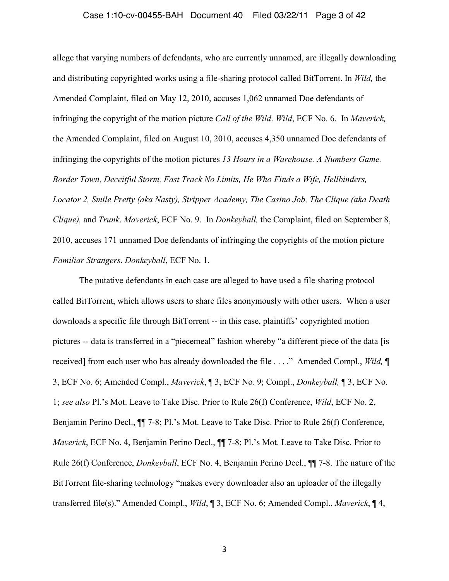### Case 1:10-cv-00455-BAH Document 40 Filed 03/22/11 Page 3 of 42

allege that varying numbers of defendants, who are currently unnamed, are illegally downloading and distributing copyrighted works using a file-sharing protocol called BitTorrent. In *Wild,* the Amended Complaint, filed on May 12, 2010, accuses 1,062 unnamed Doe defendants of infringing the copyright of the motion picture *Call of the Wild*. *Wild*, ECF No. 6. In *Maverick,*  the Amended Complaint, filed on August 10, 2010, accuses 4,350 unnamed Doe defendants of infringing the copyrights of the motion pictures *13 Hours in a Warehouse, A Numbers Game, Border Town, Deceitful Storm, Fast Track No Limits, He Who Finds a Wife, Hellbinders, Locator 2, Smile Pretty (aka Nasty), Stripper Academy, The Casino Job, The Clique (aka Death Clique),* and *Trunk*. *Maverick*, ECF No. 9. In *Donkeyball,* the Complaint, filed on September 8, 2010, accuses 171 unnamed Doe defendants of infringing the copyrights of the motion picture *Familiar Strangers*. *Donkeyball*, ECF No. 1.

The putative defendants in each case are alleged to have used a file sharing protocol called BitTorrent, which allows users to share files anonymously with other users. When a user downloads a specific file through BitTorrent -- in this case, plaintiffs' copyrighted motion pictures -- data is transferred in a "piecemeal" fashion whereby "a different piece of the data [is received] from each user who has already downloaded the file . . . ." Amended Compl., *Wild,* ¶ 3, ECF No. 6; Amended Compl., *Maverick*, ¶ 3, ECF No. 9; Compl., *Donkeyball,* ¶ 3, ECF No. 1; *see also* Pl.'s Mot. Leave to Take Disc. Prior to Rule 26(f) Conference, *Wild*, ECF No. 2, Benjamin Perino Decl., ¶¶ 7-8; Pl.'s Mot. Leave to Take Disc. Prior to Rule 26(f) Conference, *Maverick*, ECF No. 4, Benjamin Perino Decl., ¶¶ 7-8; Pl.'s Mot. Leave to Take Disc. Prior to Rule 26(f) Conference, *Donkeyball*, ECF No. 4, Benjamin Perino Decl., ¶¶ 7-8. The nature of the BitTorrent file-sharing technology "makes every downloader also an uploader of the illegally transferred file(s)." Amended Compl., *Wild*, ¶ 3, ECF No. 6; Amended Compl., *Maverick*, ¶ 4,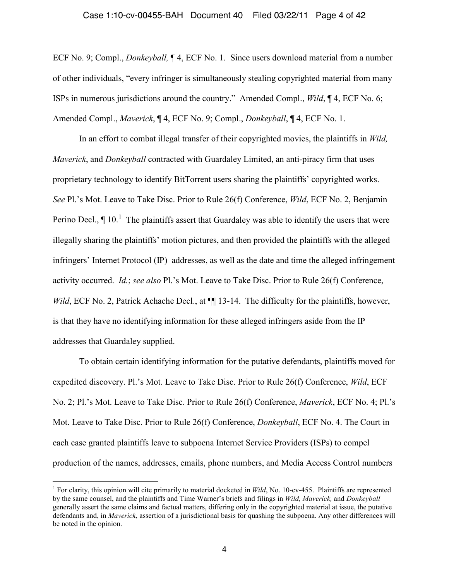### Case 1:10-cv-00455-BAH Document 40 Filed 03/22/11 Page 4 of 42

ECF No. 9; Compl., *Donkeyball,* ¶ 4, ECF No. 1. Since users download material from a number of other individuals, "every infringer is simultaneously stealing copyrighted material from many ISPs in numerous jurisdictions around the country." Amended Compl., *Wild*, ¶ 4, ECF No. 6; Amended Compl., *Maverick*, ¶ 4, ECF No. 9; Compl., *Donkeyball*, ¶ 4, ECF No. 1.

In an effort to combat illegal transfer of their copyrighted movies, the plaintiffs in *Wild, Maverick*, and *Donkeyball* contracted with Guardaley Limited, an anti-piracy firm that uses proprietary technology to identify BitTorrent users sharing the plaintiffs' copyrighted works. *See* Pl.'s Mot. Leave to Take Disc. Prior to Rule 26(f) Conference, *Wild*, ECF No. 2, Benjamin Perino Decl.,  $\P$  [1](#page-0-0)0.<sup>1</sup> The plaintiffs assert that Guardaley was able to identify the users that were illegally sharing the plaintiffs' motion pictures, and then provided the plaintiffs with the alleged infringers' Internet Protocol (IP) addresses, as well as the date and time the alleged infringement activity occurred. *Id.*; *see also* Pl.'s Mot. Leave to Take Disc. Prior to Rule 26(f) Conference, *Wild*, ECF No. 2, Patrick Achache Decl., at  $\P$  13-14. The difficulty for the plaintiffs, however, is that they have no identifying information for these alleged infringers aside from the IP addresses that Guardaley supplied.

<span id="page-3-0"></span>To obtain certain identifying information for the putative defendants, plaintiffs moved for expedited discovery. Pl.'s Mot. Leave to Take Disc. Prior to Rule 26(f) Conference, *Wild*, ECF No. 2; Pl.'s Mot. Leave to Take Disc. Prior to Rule 26(f) Conference, *Maverick*, ECF No. 4; Pl.'s Mot. Leave to Take Disc. Prior to Rule 26(f) Conference, *Donkeyball*, ECF No. 4. The Court in each case granted plaintiffs leave to subpoena Internet Service Providers (ISPs) to compel production of the names, addresses, emails, phone numbers, and Media Access Control numbers

<sup>&</sup>lt;sup>1</sup> For clarity, this opinion will cite primarily to material docketed in *Wild*, No. 10-cv-455. Plaintiffs are represented by the same counsel, and the plaintiffs and Time Warner's briefs and filings in *Wild, Maverick,* and *Donkeyball* generally assert the same claims and factual matters, differing only in the copyrighted material at issue, the putative defendants and, in *Maverick*, assertion of a jurisdictional basis for quashing the subpoena. Any other differences will be noted in the opinion.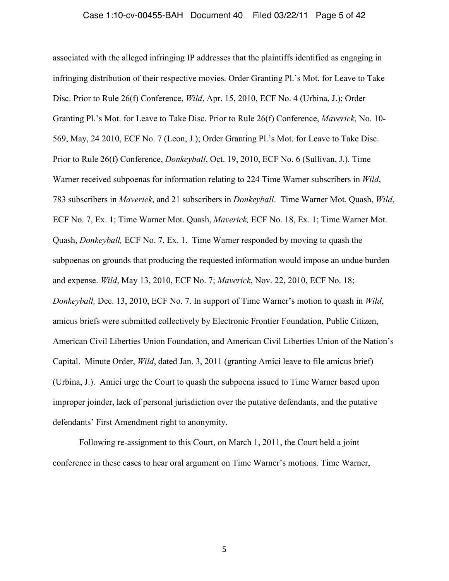### Case 1:10-cv-00455-BAH Document 40 Filed 03/22/11 Page 5 of 42

associated with the alleged infringing IP addresses that the plaintiffs identified as engaging in infringing distribution of their respective movies. Order Granting Pl.'s Mot. for Leave to Take Disc. Prior to Rule 26(f) Conference, *Wild*, Apr. 15, 2010, ECF No. 4 (Urbina, J.); Order Granting Pl.'s Mot. for Leave to Take Disc. Prior to Rule 26(f) Conference, *Maverick*, No. 10- 569, May, 24 2010, ECF No. 7 (Leon, J.); Order Granting Pl.'s Mot. for Leave to Take Disc. Prior to Rule 26(f) Conference, *Donkeyball*, Oct. 19, 2010, ECF No. 6 (Sullivan, J.). Time Warner received subpoenas for information relating to 224 Time Warner subscribers in *Wild*, 783 subscribers in *Maverick*, and 21 subscribers in *Donkeyball*. Time Warner Mot. Quash, *Wild*, ECF No. 7, Ex. 1; Time Warner Mot. Quash, *Maverick,* ECF No. 18, Ex. 1; Time Warner Mot. Quash, *Donkeyball,* ECF No. 7, Ex. 1. Time Warner responded by moving to quash the subpoenas on grounds that producing the requested information would impose an undue burden and expense. *Wild*, May 13, 2010, ECF No. 7; *Maverick*, Nov. 22, 2010, ECF No. 18; *Donkeyball,* Dec. 13, 2010, ECF No. 7. In support of Time Warner's motion to quash in *Wild*, amicus briefs were submitted collectively by Electronic Frontier Foundation, Public Citizen, American Civil Liberties Union Foundation, and American Civil Liberties Union of the Nation's Capital. Minute Order, *Wild*, dated Jan. 3, 2011 (granting Amici leave to file amicus brief) (Urbina, J.). Amici urge the Court to quash the subpoena issued to Time Warner based upon improper joinder, lack of personal jurisdiction over the putative defendants, and the putative defendants' First Amendment right to anonymity.

Following re-assignment to this Court, on March 1, 2011, the Court held a joint conference in these cases to hear oral argument on Time Warner's motions. Time Warner,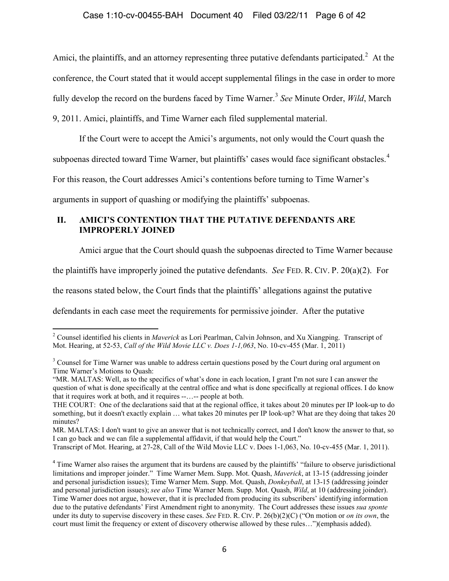Amici, the plaintiffs, and an attorney representing three putative defendants participated.<sup>[2](#page-3-0)</sup> At the conference, the Court stated that it would accept supplemental filings in the case in order to more fully develop the record on the burdens faced by Time Warner.<sup>[3](#page-5-1)</sup> See Minute Order, *Wild*, March

9, 2011. Amici, plaintiffs, and Time Warner each filed supplemental material.

If the Court were to accept the Amici's arguments, not only would the Court quash the

subpoenas directed toward Time Warner, but plaintiffs' cases would face significant obstacles.<sup>[4](#page-5-0)</sup>

For this reason, the Court addresses Amici's contentions before turning to Time Warner's

arguments in support of quashing or modifying the plaintiffs' subpoenas.

# **II. AMICI'S CONTENTION THAT THE PUTATIVE DEFENDANTS ARE IMPROPERLY JOINED**

Amici argue that the Court should quash the subpoenas directed to Time Warner because

the plaintiffs have improperly joined the putative defendants. *See* FED. R. CIV. P. 20(a)(2). For

the reasons stated below, the Court finds that the plaintiffs' allegations against the putative

defendants in each case meet the requirements for permissive joinder. After the putative

MR. MALTAS: I don't want to give an answer that is not technically correct, and I don't know the answer to that, so I can go back and we can file a supplemental affidavit, if that would help the Court."

Transcript of Mot. Hearing, at 27-28, Call of the Wild Movie LLC v. Does 1-1,063, No. 10-cv-455 (Mar. 1, 2011).

 <sup>2</sup> Counsel identified his clients in *Maverick* as Lori Pearlman, Calvin Johnson, and Xu Xiangping. Transcript of Mot. Hearing, at 52-53, *Call of the Wild Movie LLC v. Does 1-1,063*, No. 10-cv-455 (Mar. 1, 2011)

<span id="page-5-1"></span><sup>&</sup>lt;sup>3</sup> Counsel for Time Warner was unable to address certain questions posed by the Court during oral argument on Time Warner's Motions to Quash:

<sup>&</sup>quot;MR. MALTAS: Well, as to the specifics of what's done in each location, I grant I'm not sure I can answer the question of what is done specifically at the central office and what is done specifically at regional offices. I do know that it requires work at both, and it requires --…-- people at both.

THE COURT: One of the declarations said that at the regional office, it takes about 20 minutes per IP look-up to do something, but it doesn't exactly explain … what takes 20 minutes per IP look-up? What are they doing that takes 20 minutes?

<span id="page-5-2"></span><span id="page-5-0"></span><sup>&</sup>lt;sup>4</sup> Time Warner also raises the argument that its burdens are caused by the plaintiffs' "failure to observe jurisdictional limitations and improper joinder." Time Warner Mem. Supp. Mot. Quash, *Maverick*, at 13-15 (addressing joinder and personal jurisdiction issues); Time Warner Mem. Supp. Mot. Quash, *Donkeyball*, at 13-15 (addressing joinder and personal jurisdiction issues); *see also* Time Warner Mem. Supp. Mot. Quash, *Wild*, at 10 (addressing joinder). Time Warner does not argue, however, that it is precluded from producing its subscribers' identifying information due to the putative defendants' First Amendment right to anonymity. The Court addresses these issues *sua sponte* under its duty to supervise discovery in these cases. *See* FED. R. CIV. P. 26(b)(2)(C) ("On motion or *on its own*, the court must limit the frequency or extent of discovery otherwise allowed by these rules…")(emphasis added).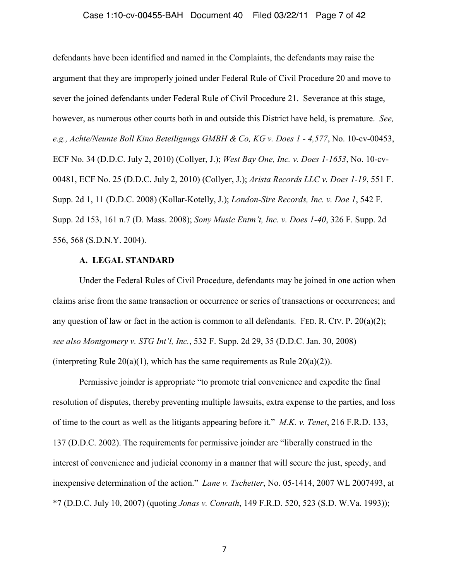### Case 1:10-cv-00455-BAH Document 40 Filed 03/22/11 Page 7 of 42

defendants have been identified and named in the Complaints, the defendants may raise the argument that they are improperly joined under Federal Rule of Civil Procedure 20 and move to sever the joined defendants under Federal Rule of Civil Procedure 21. Severance at this stage, however, as numerous other courts both in and outside this District have held, is premature. *See, e.g., Achte/Neunte Boll Kino Beteiligungs GMBH & Co, KG v. Does 1 - 4,577*, No. 10-cv-00453, ECF No. 34 (D.D.C. July 2, 2010) (Collyer, J.); *West Bay One, Inc. v. Does 1-1653*, No. 10-cv-00481, ECF No. 25 (D.D.C. July 2, 2010) (Collyer, J.); *Arista Records LLC v. Does 1-19*, 551 F. Supp. 2d 1, 11 (D.D.C. 2008) (Kollar-Kotelly, J.); *London-Sire Records, Inc. v. Doe 1*, 542 F. Supp. 2d 153, 161 n.7 (D. Mass. 2008); *Sony Music Entm't, Inc. v. Does 1-40*, 326 F. Supp. 2d 556, 568 (S.D.N.Y. 2004).

# **A. LEGAL STANDARD**

Under the Federal Rules of Civil Procedure, defendants may be joined in one action when claims arise from the same transaction or occurrence or series of transactions or occurrences; and any question of law or fact in the action is common to all defendants. FED. R. CIV. P. 20(a)(2); *see also Montgomery v. STG Int'l, Inc.*, 532 F. Supp. 2d 29, 35 (D.D.C. Jan. 30, 2008) (interpreting Rule  $20(a)(1)$ , which has the same requirements as Rule  $20(a)(2)$ ).

Permissive joinder is appropriate "to promote trial convenience and expedite the final resolution of disputes, thereby preventing multiple lawsuits, extra expense to the parties, and loss of time to the court as well as the litigants appearing before it." *M.K. v. Tenet*, 216 F.R.D. 133, 137 (D.D.C. 2002). The requirements for permissive joinder are "liberally construed in the interest of convenience and judicial economy in a manner that will secure the just, speedy, and inexpensive determination of the action." *Lane v. Tschetter*, No. 05-1414, 2007 WL 2007493, at \*7 (D.D.C. July 10, 2007) (quoting *Jonas v. Conrath*, 149 F.R.D. 520, 523 (S.D. W.Va. 1993));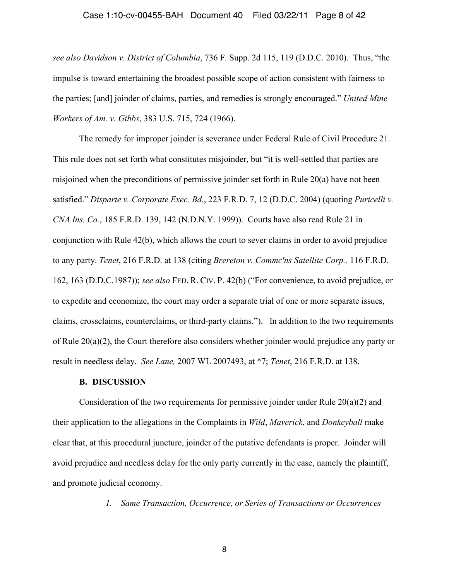### Case 1:10-cv-00455-BAH Document 40 Filed 03/22/11 Page 8 of 42

*see also Davidson v. District of Columbia*, 736 F. Supp. 2d 115, 119 (D.D.C. 2010). Thus, "the impulse is toward entertaining the broadest possible scope of action consistent with fairness to the parties; [and] joinder of claims, parties, and remedies is strongly encouraged." *United Mine Workers of Am. v. Gibbs*, 383 U.S. 715, 724 (1966).

The remedy for improper joinder is severance under Federal Rule of Civil Procedure 21. This rule does not set forth what constitutes misjoinder, but "it is well-settled that parties are misjoined when the preconditions of permissive joinder set forth in Rule 20(a) have not been satisfied." *Disparte v. Corporate Exec. Bd.*, 223 F.R.D. 7, 12 (D.D.C. 2004) (quoting *Puricelli v. CNA Ins. Co.*, 185 F.R.D. 139, 142 (N.D.N.Y. 1999)). Courts have also read Rule 21 in conjunction with Rule 42(b), which allows the court to sever claims in order to avoid prejudice to any party. *Tenet*, 216 F.R.D. at 138 (citing *Brereton v. Commc'ns Satellite Corp.,* 116 F.R.D. 162, 163 (D.D.C.1987)); *see also* FED. R. CIV. P. 42(b) ("For convenience, to avoid prejudice, or to expedite and economize, the court may order a separate trial of one or more separate issues, claims, crossclaims, counterclaims, or third-party claims."). In addition to the two requirements of Rule 20(a)(2), the Court therefore also considers whether joinder would prejudice any party or result in needless delay. *See Lane,* 2007 WL 2007493, at \*7; *Tenet*, 216 F.R.D. at 138.

#### **B. DISCUSSION**

Consideration of the two requirements for permissive joinder under Rule  $20(a)(2)$  and their application to the allegations in the Complaints in *Wild*, *Maverick*, and *Donkeyball* make clear that, at this procedural juncture, joinder of the putative defendants is proper. Joinder will avoid prejudice and needless delay for the only party currently in the case, namely the plaintiff, and promote judicial economy.

*1. Same Transaction, Occurrence, or Series of Transactions or Occurrences*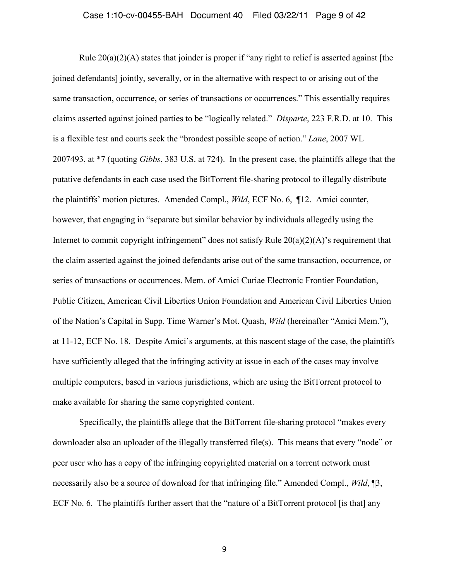### Case 1:10-cv-00455-BAH Document 40 Filed 03/22/11 Page 9 of 42

Rule  $20(a)(2)(A)$  states that joinder is proper if "any right to relief is asserted against [the joined defendants] jointly, severally, or in the alternative with respect to or arising out of the same transaction, occurrence, or series of transactions or occurrences." This essentially requires claims asserted against joined parties to be "logically related." *Disparte*, 223 F.R.D. at 10. This is a flexible test and courts seek the "broadest possible scope of action." *Lane*, 2007 WL 2007493, at \*7 (quoting *Gibbs*, 383 U.S. at 724). In the present case, the plaintiffs allege that the putative defendants in each case used the BitTorrent file-sharing protocol to illegally distribute the plaintiffs' motion pictures. Amended Compl., *Wild*, ECF No. 6, ¶12. Amici counter, however, that engaging in "separate but similar behavior by individuals allegedly using the Internet to commit copyright infringement" does not satisfy Rule  $20(a)(2)(A)$ 's requirement that the claim asserted against the joined defendants arise out of the same transaction, occurrence, or series of transactions or occurrences. Mem. of Amici Curiae Electronic Frontier Foundation, Public Citizen, American Civil Liberties Union Foundation and American Civil Liberties Union of the Nation's Capital in Supp. Time Warner's Mot. Quash, *Wild* (hereinafter "Amici Mem."), at 11-12, ECF No. 18. Despite Amici's arguments, at this nascent stage of the case, the plaintiffs have sufficiently alleged that the infringing activity at issue in each of the cases may involve multiple computers, based in various jurisdictions, which are using the BitTorrent protocol to make available for sharing the same copyrighted content.

Specifically, the plaintiffs allege that the BitTorrent file-sharing protocol "makes every downloader also an uploader of the illegally transferred file(s). This means that every "node" or peer user who has a copy of the infringing copyrighted material on a torrent network must necessarily also be a source of download for that infringing file." Amended Compl., *Wild*, ¶3, ECF No. 6. The plaintiffs further assert that the "nature of a BitTorrent protocol [is that] any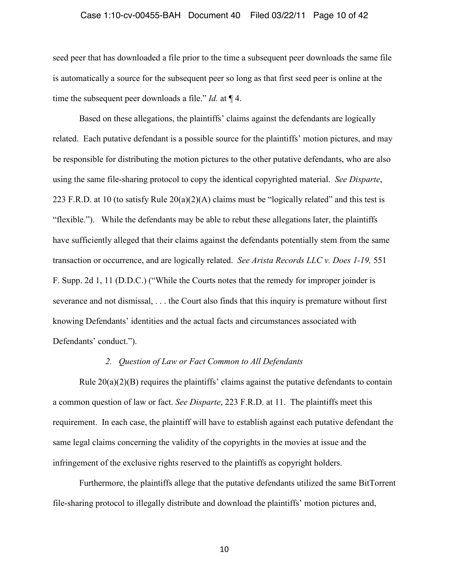### Case 1:10-cv-00455-BAH Document 40 Filed 03/22/11 Page 10 of 42

seed peer that has downloaded a file prior to the time a subsequent peer downloads the same file is automatically a source for the subsequent peer so long as that first seed peer is online at the time the subsequent peer downloads a file." *Id.* at ¶ 4.

Based on these allegations, the plaintiffs' claims against the defendants are logically related. Each putative defendant is a possible source for the plaintiffs' motion pictures, and may be responsible for distributing the motion pictures to the other putative defendants, who are also using the same file-sharing protocol to copy the identical copyrighted material. *See Disparte*, 223 F.R.D. at 10 (to satisfy Rule  $20(a)(2)(A)$  claims must be "logically related" and this test is "flexible."). While the defendants may be able to rebut these allegations later, the plaintiffs have sufficiently alleged that their claims against the defendants potentially stem from the same transaction or occurrence, and are logically related. *See Arista Records LLC v. Does 1-19,* 551 F. Supp. 2d 1, 11 (D.D.C.) ("While the Courts notes that the remedy for improper joinder is severance and not dismissal, . . . the Court also finds that this inquiry is premature without first knowing Defendants' identities and the actual facts and circumstances associated with Defendants' conduct.").

## *2. Question of Law or Fact Common to All Defendants*

Rule 20(a)(2)(B) requires the plaintiffs' claims against the putative defendants to contain a common question of law or fact. *See Disparte*, 223 F.R.D. at 11. The plaintiffs meet this requirement. In each case, the plaintiff will have to establish against each putative defendant the same legal claims concerning the validity of the copyrights in the movies at issue and the infringement of the exclusive rights reserved to the plaintiffs as copyright holders.

Furthermore, the plaintiffs allege that the putative defendants utilized the same BitTorrent file-sharing protocol to illegally distribute and download the plaintiffs' motion pictures and,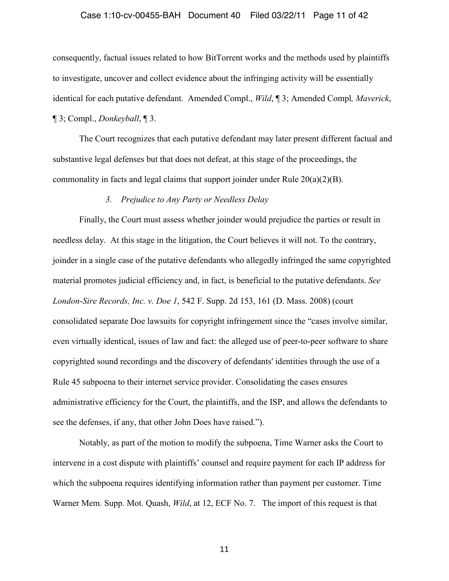### Case 1:10-cv-00455-BAH Document 40 Filed 03/22/11 Page 11 of 42

consequently, factual issues related to how BitTorrent works and the methods used by plaintiffs to investigate, uncover and collect evidence about the infringing activity will be essentially identical for each putative defendant. Amended Compl., *Wild*, ¶ 3; Amended Compl*, Maverick*, ¶ 3; Compl., *Donkeyball*, ¶ 3.

The Court recognizes that each putative defendant may later present different factual and substantive legal defenses but that does not defeat, at this stage of the proceedings, the commonality in facts and legal claims that support joinder under Rule 20(a)(2)(B).

### *3. Prejudice to Any Party or Needless Delay*

Finally, the Court must assess whether joinder would prejudice the parties or result in needless delay. At this stage in the litigation, the Court believes it will not. To the contrary, joinder in a single case of the putative defendants who allegedly infringed the same copyrighted material promotes judicial efficiency and, in fact, is beneficial to the putative defendants. *See London-Sire Records, Inc. v. Doe 1*, 542 F. Supp. 2d 153, 161 (D. Mass. 2008) (court consolidated separate Doe lawsuits for copyright infringement since the "cases involve similar, even virtually identical, issues of law and fact: the alleged use of peer-to-peer software to share copyrighted sound recordings and the discovery of defendants' identities through the use of a Rule 45 subpoena to their internet service provider. Consolidating the cases ensures administrative efficiency for the Court, the plaintiffs, and the ISP, and allows the defendants to see the defenses, if any, that other John Does have raised.").

Notably, as part of the motion to modify the subpoena, Time Warner asks the Court to intervene in a cost dispute with plaintiffs' counsel and require payment for each IP address for which the subpoena requires identifying information rather than payment per customer. Time Warner Mem. Supp. Mot. Quash, *Wild*, at 12, ECF No. 7. The import of this request is that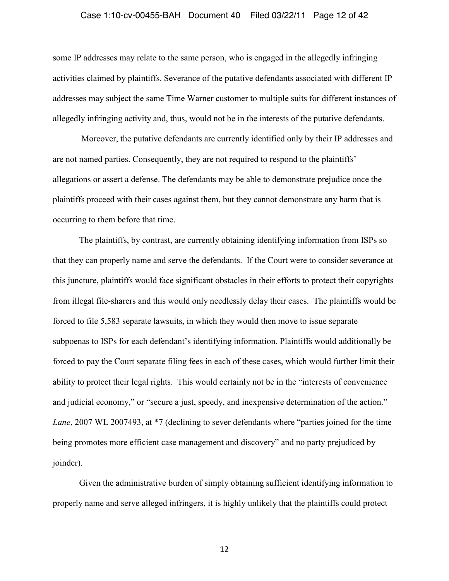### Case 1:10-cv-00455-BAH Document 40 Filed 03/22/11 Page 12 of 42

some IP addresses may relate to the same person, who is engaged in the allegedly infringing activities claimed by plaintiffs. Severance of the putative defendants associated with different IP addresses may subject the same Time Warner customer to multiple suits for different instances of allegedly infringing activity and, thus, would not be in the interests of the putative defendants.

Moreover, the putative defendants are currently identified only by their IP addresses and are not named parties. Consequently, they are not required to respond to the plaintiffs' allegations or assert a defense. The defendants may be able to demonstrate prejudice once the plaintiffs proceed with their cases against them, but they cannot demonstrate any harm that is occurring to them before that time.

The plaintiffs, by contrast, are currently obtaining identifying information from ISPs so that they can properly name and serve the defendants. If the Court were to consider severance at this juncture, plaintiffs would face significant obstacles in their efforts to protect their copyrights from illegal file-sharers and this would only needlessly delay their cases. The plaintiffs would be forced to file 5,583 separate lawsuits, in which they would then move to issue separate subpoenas to ISPs for each defendant's identifying information. Plaintiffs would additionally be forced to pay the Court separate filing fees in each of these cases, which would further limit their ability to protect their legal rights. This would certainly not be in the "interests of convenience and judicial economy," or "secure a just, speedy, and inexpensive determination of the action." *Lane*, 2007 WL 2007493, at \*7 (declining to sever defendants where "parties joined for the time being promotes more efficient case management and discovery" and no party prejudiced by joinder).

Given the administrative burden of simply obtaining sufficient identifying information to properly name and serve alleged infringers, it is highly unlikely that the plaintiffs could protect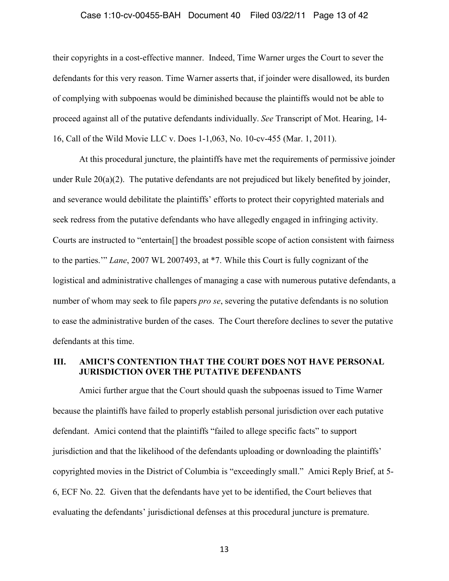### Case 1:10-cv-00455-BAH Document 40 Filed 03/22/11 Page 13 of 42

their copyrights in a cost-effective manner. Indeed, Time Warner urges the Court to sever the defendants for this very reason. Time Warner asserts that, if joinder were disallowed, its burden of complying with subpoenas would be diminished because the plaintiffs would not be able to proceed against all of the putative defendants individually. *See* Transcript of Mot. Hearing, 14- 16, Call of the Wild Movie LLC v. Does 1-1,063, No. 10-cv-455 (Mar. 1, 2011).

At this procedural juncture, the plaintiffs have met the requirements of permissive joinder under Rule  $20(a)(2)$ . The putative defendants are not prejudiced but likely benefited by joinder, and severance would debilitate the plaintiffs' efforts to protect their copyrighted materials and seek redress from the putative defendants who have allegedly engaged in infringing activity. Courts are instructed to "entertain[] the broadest possible scope of action consistent with fairness to the parties.'" *Lane*, 2007 WL 2007493, at \*7. While this Court is fully cognizant of the logistical and administrative challenges of managing a case with numerous putative defendants, a number of whom may seek to file papers *pro se*, severing the putative defendants is no solution to ease the administrative burden of the cases. The Court therefore declines to sever the putative defendants at this time.

# **III. AMICI'S CONTENTION THAT THE COURT DOES NOT HAVE PERSONAL JURISDICTION OVER THE PUTATIVE DEFENDANTS**

Amici further argue that the Court should quash the subpoenas issued to Time Warner because the plaintiffs have failed to properly establish personal jurisdiction over each putative defendant. Amici contend that the plaintiffs "failed to allege specific facts" to support jurisdiction and that the likelihood of the defendants uploading or downloading the plaintiffs' copyrighted movies in the District of Columbia is "exceedingly small." Amici Reply Brief, at 5- 6, ECF No. 22*.* Given that the defendants have yet to be identified, the Court believes that evaluating the defendants' jurisdictional defenses at this procedural juncture is premature.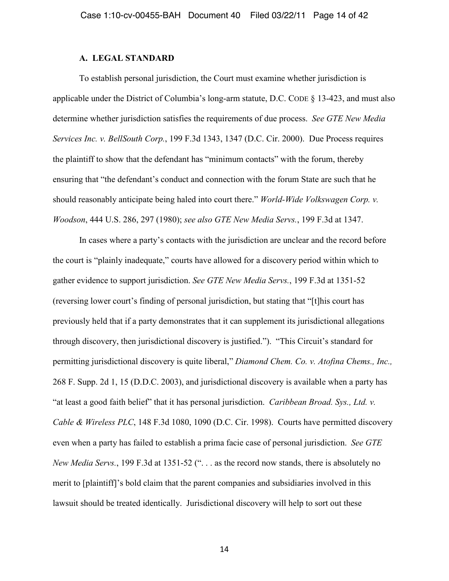### **A. LEGAL STANDARD**

To establish personal jurisdiction, the Court must examine whether jurisdiction is applicable under the District of Columbia's long-arm statute, D.C. CODE § 13-423, and must also determine whether jurisdiction satisfies the requirements of due process. *See GTE New Media Services Inc. v. BellSouth Corp.*, 199 F.3d 1343, 1347 (D.C. Cir. 2000). Due Process requires the plaintiff to show that the defendant has "minimum contacts" with the forum, thereby ensuring that "the defendant's conduct and connection with the forum State are such that he should reasonably anticipate being haled into court there." *World-Wide Volkswagen Corp. v. Woodson*, 444 U.S. 286, 297 (1980); *see also GTE New Media Servs.*, 199 F.3d at 1347.

In cases where a party's contacts with the jurisdiction are unclear and the record before the court is "plainly inadequate," courts have allowed for a discovery period within which to gather evidence to support jurisdiction. *See GTE New Media Servs.*, 199 F.3d at 1351-52 (reversing lower court's finding of personal jurisdiction, but stating that "[t]his court has previously held that if a party demonstrates that it can supplement its jurisdictional allegations through discovery, then jurisdictional discovery is justified."). "This Circuit's standard for permitting jurisdictional discovery is quite liberal," *Diamond Chem. Co. v. Atofina Chems., Inc.,*  268 F. Supp. 2d 1, 15 (D.D.C. 2003), and jurisdictional discovery is available when a party has "at least a good faith belief" that it has personal jurisdiction. *Caribbean Broad. Sys., Ltd. v. Cable & Wireless PLC*, 148 F.3d 1080, 1090 (D.C. Cir. 1998). Courts have permitted discovery even when a party has failed to establish a prima facie case of personal jurisdiction. *See GTE New Media Servs.*, 199 F.3d at 1351-52 (". . . as the record now stands, there is absolutely no merit to [plaintiff]'s bold claim that the parent companies and subsidiaries involved in this lawsuit should be treated identically. Jurisdictional discovery will help to sort out these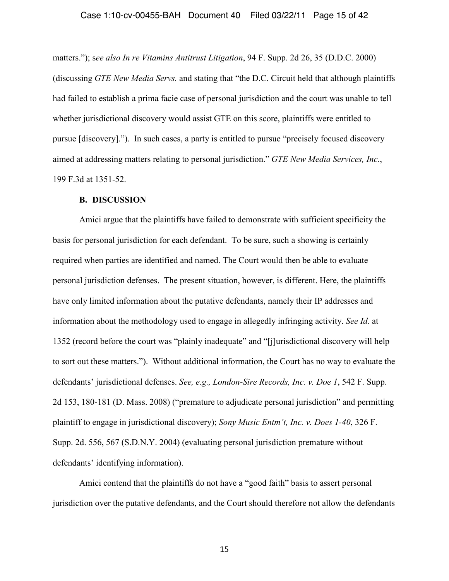### Case 1:10-cv-00455-BAH Document 40 Filed 03/22/11 Page 15 of 42

matters."); s*ee also In re Vitamins Antitrust Litigation*, 94 F. Supp. 2d 26, 35 (D.D.C. 2000) (discussing *GTE New Media Servs.* and stating that "the D.C. Circuit held that although plaintiffs had failed to establish a prima facie case of personal jurisdiction and the court was unable to tell whether jurisdictional discovery would assist GTE on this score, plaintiffs were entitled to pursue [discovery]."). In such cases, a party is entitled to pursue "precisely focused discovery aimed at addressing matters relating to personal jurisdiction." *GTE New Media Services, Inc.*, 199 F.3d at 1351-52.

# **B. DISCUSSION**

Amici argue that the plaintiffs have failed to demonstrate with sufficient specificity the basis for personal jurisdiction for each defendant. To be sure, such a showing is certainly required when parties are identified and named. The Court would then be able to evaluate personal jurisdiction defenses. The present situation, however, is different. Here, the plaintiffs have only limited information about the putative defendants, namely their IP addresses and information about the methodology used to engage in allegedly infringing activity. *See Id.* at 1352 (record before the court was "plainly inadequate" and "[j]urisdictional discovery will help to sort out these matters."). Without additional information, the Court has no way to evaluate the defendants' jurisdictional defenses. *See, e.g., London-Sire Records, Inc. v. Doe 1*, 542 F. Supp. 2d 153, 180-181 (D. Mass. 2008) ("premature to adjudicate personal jurisdiction" and permitting plaintiff to engage in jurisdictional discovery); *Sony Music Entm't, Inc. v. Does 1-40*, 326 F. Supp. 2d. 556, 567 (S.D.N.Y. 2004) (evaluating personal jurisdiction premature without defendants' identifying information).

Amici contend that the plaintiffs do not have a "good faith" basis to assert personal jurisdiction over the putative defendants, and the Court should therefore not allow the defendants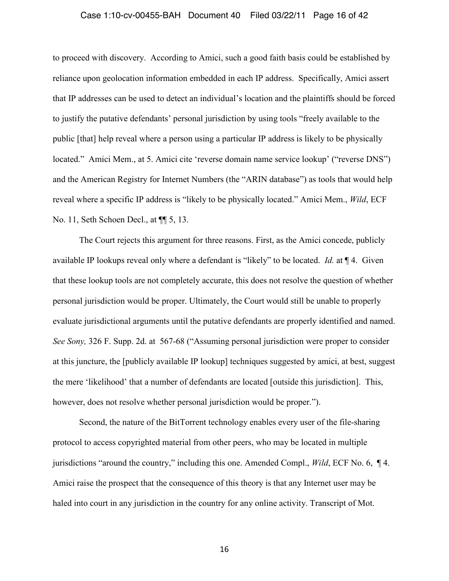### Case 1:10-cv-00455-BAH Document 40 Filed 03/22/11 Page 16 of 42

to proceed with discovery. According to Amici, such a good faith basis could be established by reliance upon geolocation information embedded in each IP address. Specifically, Amici assert that IP addresses can be used to detect an individual's location and the plaintiffs should be forced to justify the putative defendants' personal jurisdiction by using tools "freely available to the public [that] help reveal where a person using a particular IP address is likely to be physically located." Amici Mem., at 5. Amici cite 'reverse domain name service lookup' ("reverse DNS") and the American Registry for Internet Numbers (the "ARIN database") as tools that would help reveal where a specific IP address is "likely to be physically located." Amici Mem., *Wild*, ECF No. 11, Seth Schoen Decl., at ¶¶ 5, 13.

The Court rejects this argument for three reasons. First, as the Amici concede, publicly available IP lookups reveal only where a defendant is "likely" to be located. *Id.* at ¶ 4. Given that these lookup tools are not completely accurate, this does not resolve the question of whether personal jurisdiction would be proper. Ultimately, the Court would still be unable to properly evaluate jurisdictional arguments until the putative defendants are properly identified and named. *See Sony,* 326 F. Supp. 2d. at 567-68 ("Assuming personal jurisdiction were proper to consider at this juncture, the [publicly available IP lookup] techniques suggested by amici, at best, suggest the mere 'likelihood' that a number of defendants are located [outside this jurisdiction]. This, however, does not resolve whether personal jurisdiction would be proper.").

Second, the nature of the BitTorrent technology enables every user of the file-sharing protocol to access copyrighted material from other peers, who may be located in multiple jurisdictions "around the country," including this one. Amended Compl., *Wild*, ECF No. 6, ¶ 4. Amici raise the prospect that the consequence of this theory is that any Internet user may be haled into court in any jurisdiction in the country for any online activity. Transcript of Mot.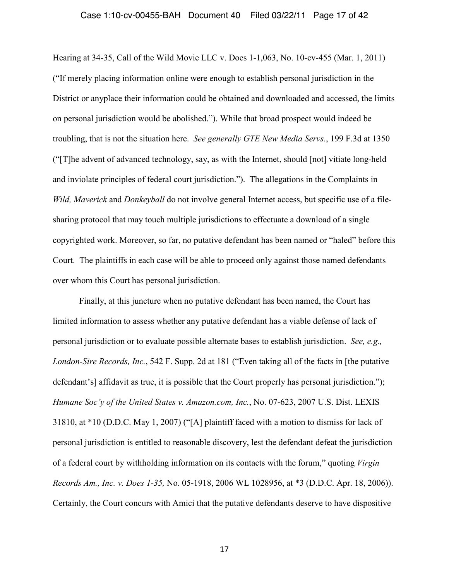Hearing at 34-35, Call of the Wild Movie LLC v. Does 1-1,063, No. 10-cv-455 (Mar. 1, 2011) ("If merely placing information online were enough to establish personal jurisdiction in the District or anyplace their information could be obtained and downloaded and accessed, the limits on personal jurisdiction would be abolished."). While that broad prospect would indeed be troubling, that is not the situation here. *See generally GTE New Media Servs.*, 199 F.3d at 1350 ("[T]he advent of advanced technology, say, as with the Internet, should [not] vitiate long-held and inviolate principles of federal court jurisdiction."). The allegations in the Complaints in *Wild, Maverick* and *Donkeyball* do not involve general Internet access, but specific use of a filesharing protocol that may touch multiple jurisdictions to effectuate a download of a single copyrighted work. Moreover, so far, no putative defendant has been named or "haled" before this Court. The plaintiffs in each case will be able to proceed only against those named defendants over whom this Court has personal jurisdiction.

Finally, at this juncture when no putative defendant has been named, the Court has limited information to assess whether any putative defendant has a viable defense of lack of personal jurisdiction or to evaluate possible alternate bases to establish jurisdiction. *See, e.g., London-Sire Records, Inc.*, 542 F. Supp. 2d at 181 ("Even taking all of the facts in [the putative defendant's] affidavit as true, it is possible that the Court properly has personal jurisdiction."); *Humane Soc'y of the United States v. Amazon.com, Inc.*, No. 07-623, 2007 U.S. Dist. LEXIS 31810, at \*10 (D.D.C. May 1, 2007) ("[A] plaintiff faced with a motion to dismiss for lack of personal jurisdiction is entitled to reasonable discovery, lest the defendant defeat the jurisdiction of a federal court by withholding information on its contacts with the forum," quoting *Virgin Records Am., Inc. v. Does 1-35,* No. 05-1918, 2006 WL 1028956, at \*3 (D.D.C. Apr. 18, 2006)). Certainly, the Court concurs with Amici that the putative defendants deserve to have dispositive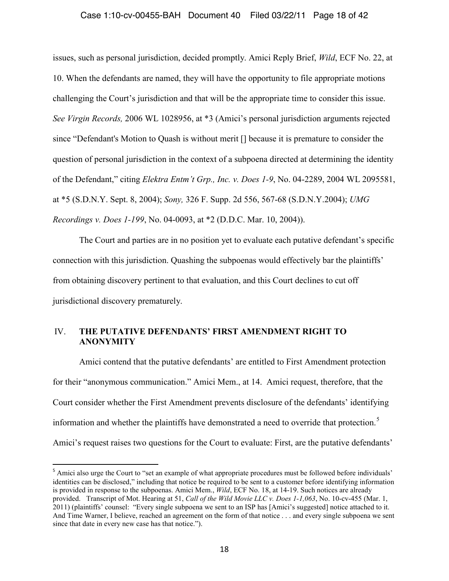### Case 1:10-cv-00455-BAH Document 40 Filed 03/22/11 Page 18 of 42

issues, such as personal jurisdiction, decided promptly. Amici Reply Brief, *Wild*, ECF No. 22, at 10. When the defendants are named, they will have the opportunity to file appropriate motions challenging the Court's jurisdiction and that will be the appropriate time to consider this issue. *See Virgin Records,* 2006 WL 1028956, at \*3 (Amici's personal jurisdiction arguments rejected since "Defendant's Motion to Quash is without merit [] because it is premature to consider the question of personal jurisdiction in the context of a subpoena directed at determining the identity of the Defendant," citing *Elektra Entm't Grp., Inc. v. Does 1-9*, No. 04-2289, 2004 WL 2095581, at \*5 (S.D.N.Y. Sept. 8, 2004); *Sony,* 326 F. Supp. 2d 556, 567-68 (S.D.N.Y.2004); *UMG Recordings v. Does 1-199*, No. 04-0093, at \*2 (D.D.C. Mar. 10, 2004)).

The Court and parties are in no position yet to evaluate each putative defendant's specific connection with this jurisdiction. Quashing the subpoenas would effectively bar the plaintiffs' from obtaining discovery pertinent to that evaluation, and this Court declines to cut off jurisdictional discovery prematurely.

# IV. **THE PUTATIVE DEFENDANTS' FIRST AMENDMENT RIGHT TO ANONYMITY**

Amici contend that the putative defendants' are entitled to First Amendment protection for their "anonymous communication." Amici Mem., at 14. Amici request, therefore, that the Court consider whether the First Amendment prevents disclosure of the defendants' identifying information and whether the plaintiffs have demonstrated a need to override that protection.<sup>[5](#page-5-2)</sup> Amici's request raises two questions for the Court to evaluate: First, are the putative defendants'

<span id="page-17-0"></span><sup>&</sup>lt;sup>5</sup> Amici also urge the Court to "set an example of what appropriate procedures must be followed before individuals' identities can be disclosed," including that notice be required to be sent to a customer before identifying information is provided in response to the subpoenas. Amici Mem., *Wild*, ECF No. 18, at 14-19. Such notices are already provided. Transcript of Mot. Hearing at 51, *Call of the Wild Movie LLC v. Does 1-1,063*, No. 10-cv-455 (Mar. 1, 2011) (plaintiffs' counsel: "Every single subpoena we sent to an ISP has [Amici's suggested] notice attached to it. And Time Warner, I believe, reached an agreement on the form of that notice . . . and every single subpoena we sent since that date in every new case has that notice.").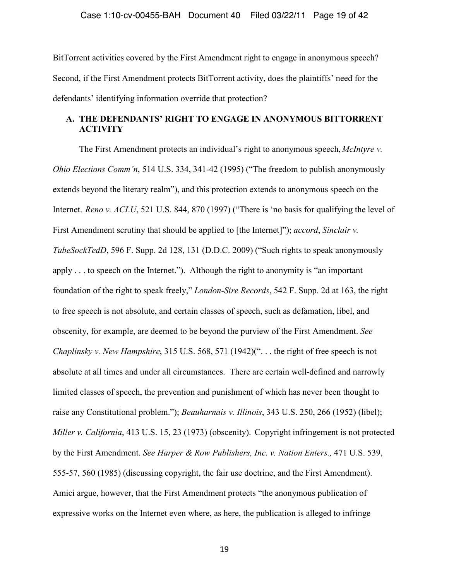BitTorrent activities covered by the First Amendment right to engage in anonymous speech? Second, if the First Amendment protects BitTorrent activity, does the plaintiffs' need for the defendants' identifying information override that protection?

# **A. THE DEFENDANTS' RIGHT TO ENGAGE IN ANONYMOUS BITTORRENT ACTIVITY**

The First Amendment protects an individual's right to anonymous speech, *McIntyre v. Ohio Elections Comm'n*, 514 U.S. 334, 341-42 (1995) ("The freedom to publish anonymously extends beyond the literary realm"), and this protection extends to anonymous speech on the Internet. *Reno v. ACLU*, 521 U.S. 844, 870 (1997) ("There is 'no basis for qualifying the level of First Amendment scrutiny that should be applied to [the Internet]"); *accord*, *Sinclair v. TubeSockTedD*, 596 F. Supp. 2d 128, 131 (D.D.C. 2009) ("Such rights to speak anonymously apply . . . to speech on the Internet."). Although the right to anonymity is "an important foundation of the right to speak freely," *London-Sire Records*, 542 F. Supp. 2d at 163, the right to free speech is not absolute, and certain classes of speech, such as defamation, libel, and obscenity, for example, are deemed to be beyond the purview of the First Amendment. *See Chaplinsky v. New Hampshire*, 315 U.S. 568, 571 (1942)(". . . the right of free speech is not absolute at all times and under all circumstances. There are certain well-defined and narrowly limited classes of speech, the prevention and punishment of which has never been thought to raise any Constitutional problem."); *Beauharnais v. Illinois*, 343 U.S. 250, 266 (1952) (libel); *Miller v. California*, 413 U.S. 15, 23 (1973) (obscenity). Copyright infringement is not protected by the First Amendment. *See Harper & Row Publishers, Inc. v. Nation Enters.,* 471 U.S. 539, 555-57, 560 (1985) (discussing copyright, the fair use doctrine, and the First Amendment). Amici argue, however, that the First Amendment protects "the anonymous publication of expressive works on the Internet even where, as here, the publication is alleged to infringe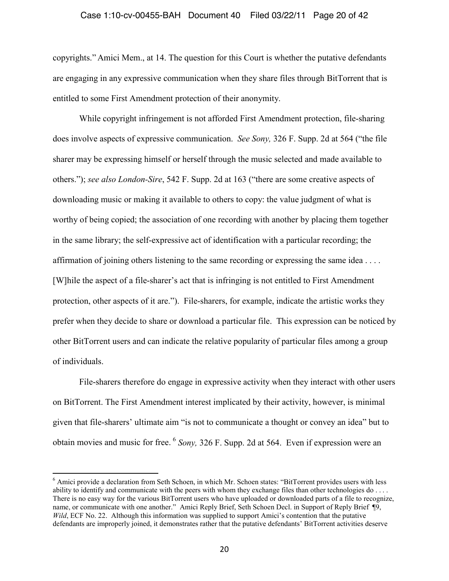### Case 1:10-cv-00455-BAH Document 40 Filed 03/22/11 Page 20 of 42

copyrights." Amici Mem., at 14. The question for this Court is whether the putative defendants are engaging in any expressive communication when they share files through BitTorrent that is entitled to some First Amendment protection of their anonymity.

While copyright infringement is not afforded First Amendment protection, file-sharing does involve aspects of expressive communication. *See Sony,* 326 F. Supp. 2d at 564 ("the file sharer may be expressing himself or herself through the music selected and made available to others."); *see also London-Sire*, 542 F. Supp. 2d at 163 ("there are some creative aspects of downloading music or making it available to others to copy: the value judgment of what is worthy of being copied; the association of one recording with another by placing them together in the same library; the self-expressive act of identification with a particular recording; the affirmation of joining others listening to the same recording or expressing the same idea . . . . [W]hile the aspect of a file-sharer's act that is infringing is not entitled to First Amendment protection, other aspects of it are."). File-sharers, for example, indicate the artistic works they prefer when they decide to share or download a particular file. This expression can be noticed by other BitTorrent users and can indicate the relative popularity of particular files among a group of individuals.

<span id="page-19-0"></span>File-sharers therefore do engage in expressive activity when they interact with other users on BitTorrent. The First Amendment interest implicated by their activity, however, is minimal given that file-sharers' ultimate aim "is not to communicate a thought or convey an idea" but to obtain movies and music for free. [6](#page-17-0) *Sony,* 326 F. Supp. 2d at 564. Even if expression were an

 <sup>6</sup> Amici provide a declaration from Seth Schoen, in which Mr. Schoen states: "BitTorrent provides users with less ability to identify and communicate with the peers with whom they exchange files than other technologies do .... There is no easy way for the various BitTorrent users who have uploaded or downloaded parts of a file to recognize, name, or communicate with one another." Amici Reply Brief, Seth Schoen Decl. in Support of Reply Brief ¶9, *Wild*, ECF No. 22. Although this information was supplied to support Amici's contention that the putative defendants are improperly joined, it demonstrates rather that the putative defendants' BitTorrent activities deserve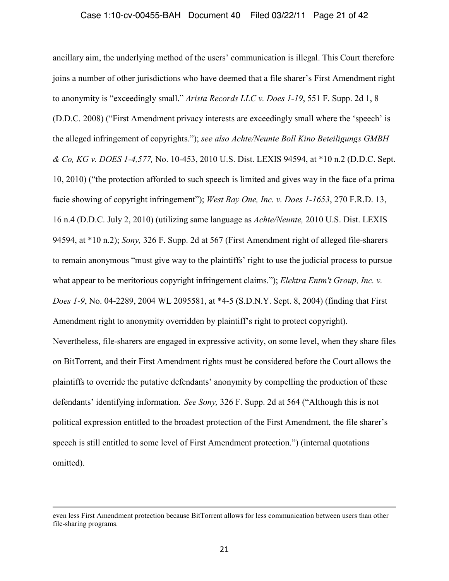ancillary aim, the underlying method of the users' communication is illegal. This Court therefore joins a number of other jurisdictions who have deemed that a file sharer's First Amendment right to anonymity is "exceedingly small." *Arista Records LLC v. Does 1-19*, 551 F. Supp. 2d 1, 8 (D.D.C. 2008) ("First Amendment privacy interests are exceedingly small where the 'speech' is the alleged infringement of copyrights."); *see also Achte/Neunte Boll Kino Beteiligungs GMBH & Co, KG v. DOES 1-4,577,* No. 10-453, 2010 U.S. Dist. LEXIS 94594, at \*10 n.2 (D.D.C. Sept. 10, 2010) ("the protection afforded to such speech is limited and gives way in the face of a prima facie showing of copyright infringement"); *West Bay One, Inc. v. Does 1-1653*, 270 F.R.D. 13, 16 n.4 (D.D.C. July 2, 2010) (utilizing same language as *Achte/Neunte,* 2010 U.S. Dist. LEXIS 94594, at \*10 n.2); *Sony,* 326 F. Supp. 2d at 567 (First Amendment right of alleged file-sharers to remain anonymous "must give way to the plaintiffs' right to use the judicial process to pursue what appear to be meritorious copyright infringement claims."); *Elektra Entm't Group, Inc. v. Does 1-9*, No. 04-2289, 2004 WL 2095581, at \*4-5 (S.D.N.Y. Sept. 8, 2004) (finding that First Amendment right to anonymity overridden by plaintiff's right to protect copyright). Nevertheless, file-sharers are engaged in expressive activity, on some level, when they share files on BitTorrent, and their First Amendment rights must be considered before the Court allows the plaintiffs to override the putative defendants' anonymity by compelling the production of these defendants' identifying information. *See Sony,* 326 F. Supp. 2d at 564 ("Although this is not political expression entitled to the broadest protection of the First Amendment, the file sharer's speech is still entitled to some level of First Amendment protection.") (internal quotations omitted).

<u> 1989 - Andrea Stadt Britain, amerikansk politik (\* 1989)</u>

even less First Amendment protection because BitTorrent allows for less communication between users than other file-sharing programs.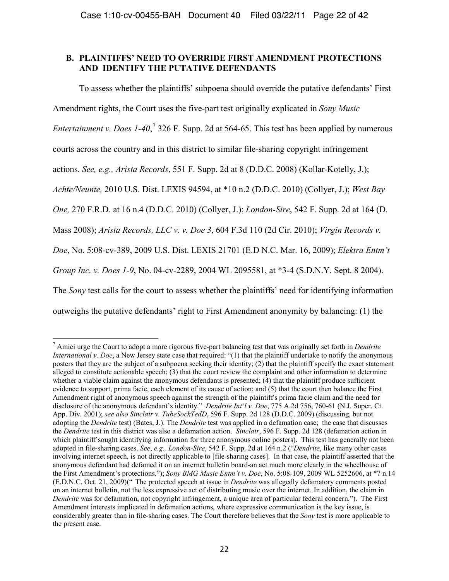# **B. PLAINTIFFS' NEED TO OVERRIDE FIRST AMENDMENT PROTECTIONS AND IDENTIFY THE PUTATIVE DEFENDANTS**

To assess whether the plaintiffs' subpoena should override the putative defendants' First Amendment rights, the Court uses the five-part test originally explicated in *Sony Music Entertainment v. Does 1-40*,<sup>[7](#page-19-0)</sup> 326 F. Supp. 2d at 564-65. This test has been applied by numerous courts across the country and in this district to similar file-sharing copyright infringement actions. *See, e.g., Arista Records*, 551 F. Supp. 2d at 8 (D.D.C. 2008) (Kollar-Kotelly, J.); *Achte/Neunte,* 2010 U.S. Dist. LEXIS 94594, at \*10 n.2 (D.D.C. 2010) (Collyer, J.); *West Bay One,* 270 F.R.D. at 16 n.4 (D.D.C. 2010) (Collyer, J.); *London-Sire*, 542 F. Supp. 2d at 164 (D. Mass 2008); *Arista Records, LLC v. v. Doe 3*, 604 F.3d 110 (2d Cir. 2010); *Virgin Records v. Doe*, No. 5:08-cv-389, 2009 U.S. Dist. LEXIS 21701 (E.D N.C. Mar. 16, 2009); *Elektra Entm't Group Inc. v. Does 1-9*, No. 04-cv-2289, 2004 WL 2095581, at \*3-4 (S.D.N.Y. Sept. 8 2004). The *Sony* test calls for the court to assess whether the plaintiffs' need for identifying information outweighs the putative defendants' right to First Amendment anonymity by balancing: (1) the

<span id="page-21-0"></span> <sup>7</sup> Amici urge the Court to adopt a more rigorous five-part balancing test that was originally set forth in *Dendrite International v. Doe*, a New Jersey state case that required: "(1) that the plaintiff undertake to notify the anonymous posters that they are the subject of a subpoena seeking their identity; (2) that the plaintiff specify the exact statement alleged to constitute actionable speech; (3) that the court review the complaint and other information to determine whether a viable claim against the anonymous defendants is presented; (4) that the plaintiff produce sufficient evidence to support, prima facie, each element of its cause of action; and (5) that the court then balance the First Amendment right of anonymous speech against the strength of the plaintiff's prima facie claim and the need for disclosure of the anonymous defendant's identity." *Dendrite Int'l v. Doe*, 775 A.2d 756, 760-61 (N.J. Super. Ct. App. Div. 2001); *see also Sinclair v. TubeSockTedD*, 596 F. Supp. 2d 128 (D.D.C. 2009) (discussing, but not adopting the *Dendrite* test) (Bates, J.). The *Dendrite* test was applied in a defamation case; the case that discusses the *Dendrite* test in this district was also a defamation action. *Sinclair*, 596 F. Supp. 2d 128 (defamation action in which plaintiff sought identifying information for three anonymous online posters). This test has generally not been adopted in file-sharing cases. *See*, *e.g., London-Sire*, 542 F. Supp. 2d at 164 n.2 ("*Dendrite*, like many other cases involving internet speech, is not directly applicable to [file-sharing cases]. In that case, the plaintiff asserted that the anonymous defendant had defamed it on an internet bulletin board-an act much more clearly in the wheelhouse of the First Amendment's protections."); *Sony BMG Music Entm't v. Doe*, No. 5:08-109, 2009 WL 5252606, at \*7 n.14 (E.D.N.C. Oct. 21, 2009)(" The protected speech at issue in *Dendrite* was allegedly defamatory comments posted on an internet bulletin, not the less expressive act of distributing music over the internet. In addition, the claim in *Dendrite* was for defamation, not copyright infringement, a unique area of particular federal concern."). The First Amendment interests implicated in defamation actions, where expressive communication is the key issue, is considerably greater than in file-sharing cases. The Court therefore believes that the *Sony* test is more applicable to the present case.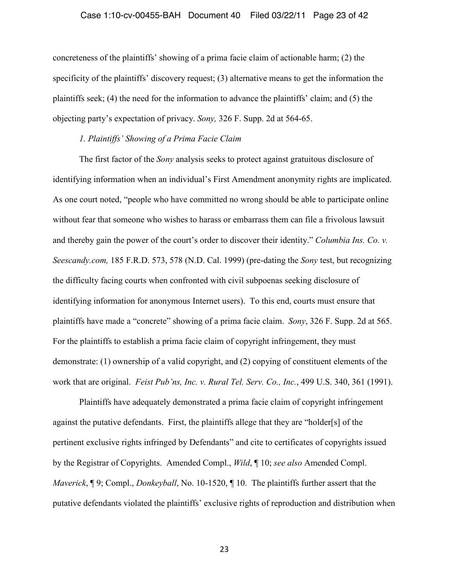### Case 1:10-cv-00455-BAH Document 40 Filed 03/22/11 Page 23 of 42

concreteness of the plaintiffs' showing of a prima facie claim of actionable harm; (2) the specificity of the plaintiffs' discovery request; (3) alternative means to get the information the plaintiffs seek; (4) the need for the information to advance the plaintiffs' claim; and (5) the objecting party's expectation of privacy. *Sony,* 326 F. Supp. 2d at 564-65.

# *1. Plaintiffs' Showing of a Prima Facie Claim*

The first factor of the *Sony* analysis seeks to protect against gratuitous disclosure of identifying information when an individual's First Amendment anonymity rights are implicated. As one court noted, "people who have committed no wrong should be able to participate online without fear that someone who wishes to harass or embarrass them can file a frivolous lawsuit and thereby gain the power of the court's order to discover their identity." *Columbia Ins. Co. v. Seescandy.com,* 185 F.R.D. 573, 578 (N.D. Cal. 1999) (pre-dating the *Sony* test, but recognizing the difficulty facing courts when confronted with civil subpoenas seeking disclosure of identifying information for anonymous Internet users). To this end, courts must ensure that plaintiffs have made a "concrete" showing of a prima facie claim. *Sony*, 326 F. Supp. 2d at 565. For the plaintiffs to establish a prima facie claim of copyright infringement, they must demonstrate: (1) ownership of a valid copyright, and (2) copying of constituent elements of the work that are original. *Feist Pub'ns, Inc. v. Rural Tel. Serv. Co., Inc.*, 499 U.S. 340, 361 (1991).

Plaintiffs have adequately demonstrated a prima facie claim of copyright infringement against the putative defendants. First, the plaintiffs allege that they are "holder[s] of the pertinent exclusive rights infringed by Defendants" and cite to certificates of copyrights issued by the Registrar of Copyrights. Amended Compl., *Wild*, ¶ 10; *see also* Amended Compl. *Maverick*, ¶ 9; Compl., *Donkeyball*, No. 10-1520, ¶ 10. The plaintiffs further assert that the putative defendants violated the plaintiffs' exclusive rights of reproduction and distribution when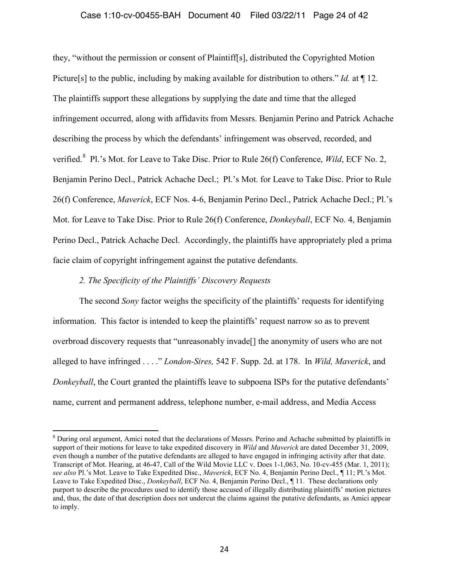## Case 1:10-cv-00455-BAH Document 40 Filed 03/22/11 Page 24 of 42

they, "without the permission or consent of Plaintiff[s], distributed the Copyrighted Motion Picture[s] to the public, including by making available for distribution to others." *Id.* at ¶ 12. The plaintiffs support these allegations by supplying the date and time that the alleged infringement occurred, along with affidavits from Messrs. Benjamin Perino and Patrick Achache describing the process by which the defendants' infringement was observed, recorded, and verified.<sup>[8](#page-21-0)</sup> Pl.'s Mot. for Leave to Take Disc. Prior to Rule 26(f) Conference, *Wild*, ECF No. 2, Benjamin Perino Decl., Patrick Achache Decl.; Pl.'s Mot. for Leave to Take Disc. Prior to Rule 26(f) Conference, *Maverick*, ECF Nos. 4-6, Benjamin Perino Decl., Patrick Achache Decl.; Pl.'s Mot. for Leave to Take Disc. Prior to Rule 26(f) Conference, *Donkeyball*, ECF No. 4, Benjamin Perino Decl., Patrick Achache Decl. Accordingly, the plaintiffs have appropriately pled a prima facie claim of copyright infringement against the putative defendants.

# *2. The Specificity of the Plaintiffs' Discovery Requests*

The second *Sony* factor weighs the specificity of the plaintiffs' requests for identifying information. This factor is intended to keep the plaintiffs' request narrow so as to prevent overbroad discovery requests that "unreasonably invade[] the anonymity of users who are not alleged to have infringed . . . ." *London-Sires,* 542 F. Supp. 2d. at 178. In *Wild, Maverick*, and *Donkeyball*, the Court granted the plaintiffs leave to subpoena ISPs for the putative defendants' name, current and permanent address, telephone number, e-mail address, and Media Access

<span id="page-23-0"></span><sup>&</sup>lt;sup>8</sup> During oral argument, Amici noted that the declarations of Messrs. Perino and Achache submitted by plaintiffs in support of their motions for leave to take expedited discovery in *Wild* and *Maverick* are dated December 31, 2009, even though a number of the putative defendants are alleged to have engaged in infringing activity after that date. Transcript of Mot. Hearing, at 46-47, Call of the Wild Movie LLC v. Does 1-1,063, No. 10-cv-455 (Mar. 1, 2011); *see also* Pl.'s Mot. Leave to Take Expedited Disc., *Maverick*, ECF No. 4, Benjamin Perino Decl., ¶ 11; Pl.'s Mot. Leave to Take Expedited Disc., *Donkeyball*, ECF No. 4, Benjamin Perino Decl., ¶ 11. These declarations only purport to describe the procedures used to identify those accused of illegally distributing plaintiffs' motion pictures and, thus, the date of that description does not undercut the claims against the putative defendants, as Amici appear to imply.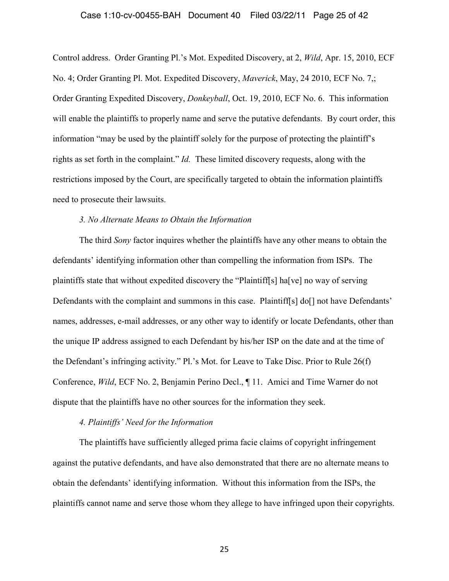#### Case 1:10-cv-00455-BAH Document 40 Filed 03/22/11 Page 25 of 42

Control address. Order Granting Pl.'s Mot. Expedited Discovery, at 2, *Wild*, Apr. 15, 2010, ECF No. 4; Order Granting Pl. Mot. Expedited Discovery, *Maverick*, May, 24 2010, ECF No. 7,; Order Granting Expedited Discovery, *Donkeyball*, Oct. 19, 2010, ECF No. 6. This information will enable the plaintiffs to properly name and serve the putative defendants. By court order, this information "may be used by the plaintiff solely for the purpose of protecting the plaintiff's rights as set forth in the complaint." *Id.* These limited discovery requests, along with the restrictions imposed by the Court, are specifically targeted to obtain the information plaintiffs need to prosecute their lawsuits.

### *3. No Alternate Means to Obtain the Information*

The third *Sony* factor inquires whether the plaintiffs have any other means to obtain the defendants' identifying information other than compelling the information from ISPs. The plaintiffs state that without expedited discovery the "Plaintiff[s] ha[ve] no way of serving Defendants with the complaint and summons in this case. Plaintiff[s] do[] not have Defendants' names, addresses, e-mail addresses, or any other way to identify or locate Defendants, other than the unique IP address assigned to each Defendant by his/her ISP on the date and at the time of the Defendant's infringing activity." Pl.'s Mot. for Leave to Take Disc. Prior to Rule 26(f) Conference, *Wild*, ECF No. 2, Benjamin Perino Decl., ¶ 11. Amici and Time Warner do not dispute that the plaintiffs have no other sources for the information they seek.

### *4. Plaintiffs' Need for the Information*

The plaintiffs have sufficiently alleged prima facie claims of copyright infringement against the putative defendants, and have also demonstrated that there are no alternate means to obtain the defendants' identifying information. Without this information from the ISPs, the plaintiffs cannot name and serve those whom they allege to have infringed upon their copyrights.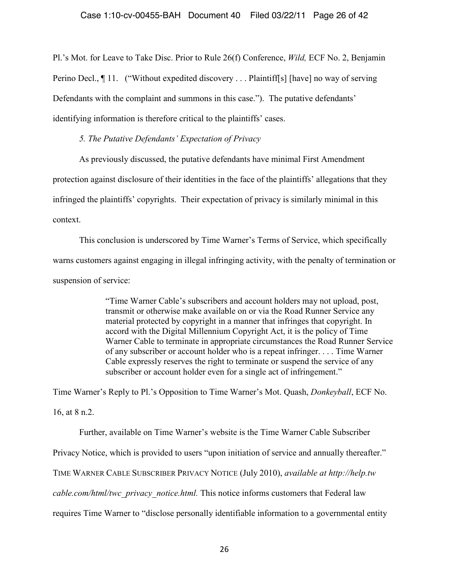Pl.'s Mot. for Leave to Take Disc. Prior to Rule 26(f) Conference, *Wild,* ECF No. 2, Benjamin Perino Decl.,  $\P$  11. ("Without expedited discovery . . . Plaintiff[s] [have] no way of serving Defendants with the complaint and summons in this case."). The putative defendants' identifying information is therefore critical to the plaintiffs' cases.

*5. The Putative Defendants' Expectation of Privacy*

As previously discussed, the putative defendants have minimal First Amendment protection against disclosure of their identities in the face of the plaintiffs' allegations that they infringed the plaintiffs' copyrights. Their expectation of privacy is similarly minimal in this context.

This conclusion is underscored by Time Warner's Terms of Service, which specifically warns customers against engaging in illegal infringing activity, with the penalty of termination or suspension of service:

> "Time Warner Cable's subscribers and account holders may not upload, post, transmit or otherwise make available on or via the Road Runner Service any material protected by copyright in a manner that infringes that copyright. In accord with the Digital Millennium Copyright Act, it is the policy of Time Warner Cable to terminate in appropriate circumstances the Road Runner Service of any subscriber or account holder who is a repeat infringer. . . . Time Warner Cable expressly reserves the right to terminate or suspend the service of any subscriber or account holder even for a single act of infringement."

Time Warner's Reply to Pl.'s Opposition to Time Warner's Mot. Quash, *Donkeyball*, ECF No. 16, at 8 n.2.

Further, available on Time Warner's website is the Time Warner Cable Subscriber Privacy Notice, which is provided to users "upon initiation of service and annually thereafter." TIME WARNER CABLE SUBSCRIBER PRIVACY NOTICE (July 2010), *available at http://help.tw cable.com/html/twc\_privacy\_notice.html.* This notice informs customers that Federal law requires Time Warner to "disclose personally identifiable information to a governmental entity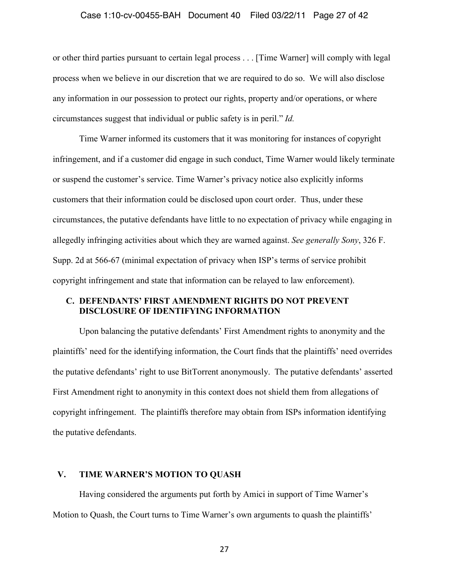### Case 1:10-cv-00455-BAH Document 40 Filed 03/22/11 Page 27 of 42

or other third parties pursuant to certain legal process . . . [Time Warner] will comply with legal process when we believe in our discretion that we are required to do so. We will also disclose any information in our possession to protect our rights, property and/or operations, or where circumstances suggest that individual or public safety is in peril." *Id.*

Time Warner informed its customers that it was monitoring for instances of copyright infringement, and if a customer did engage in such conduct, Time Warner would likely terminate or suspend the customer's service. Time Warner's privacy notice also explicitly informs customers that their information could be disclosed upon court order. Thus, under these circumstances, the putative defendants have little to no expectation of privacy while engaging in allegedly infringing activities about which they are warned against. *See generally Sony*, 326 F. Supp. 2d at 566-67 (minimal expectation of privacy when ISP's terms of service prohibit copyright infringement and state that information can be relayed to law enforcement).

# **C. DEFENDANTS' FIRST AMENDMENT RIGHTS DO NOT PREVENT DISCLOSURE OF IDENTIFYING INFORMATION**

Upon balancing the putative defendants' First Amendment rights to anonymity and the plaintiffs' need for the identifying information, the Court finds that the plaintiffs' need overrides the putative defendants' right to use BitTorrent anonymously. The putative defendants' asserted First Amendment right to anonymity in this context does not shield them from allegations of copyright infringement. The plaintiffs therefore may obtain from ISPs information identifying the putative defendants.

### **V. TIME WARNER'S MOTION TO QUASH**

Having considered the arguments put forth by Amici in support of Time Warner's Motion to Quash, the Court turns to Time Warner's own arguments to quash the plaintiffs'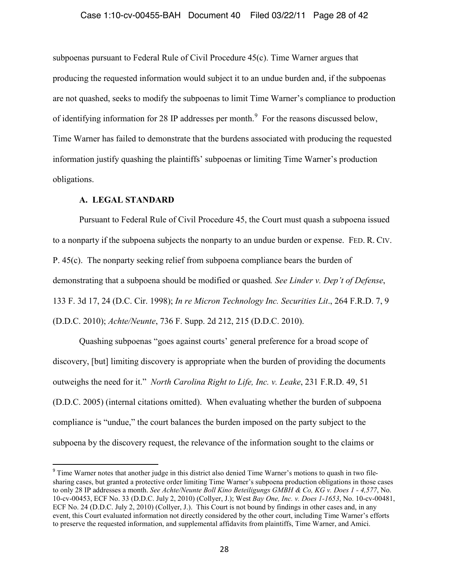### Case 1:10-cv-00455-BAH Document 40 Filed 03/22/11 Page 28 of 42

subpoenas pursuant to Federal Rule of Civil Procedure 45(c). Time Warner argues that producing the requested information would subject it to an undue burden and, if the subpoenas are not quashed, seeks to modify the subpoenas to limit Time Warner's compliance to production of identifying information for 28 IP addresses per month.<sup>[9](#page-23-0)</sup> For the reasons discussed below, Time Warner has failed to demonstrate that the burdens associated with producing the requested information justify quashing the plaintiffs' subpoenas or limiting Time Warner's production obligations.

## **A. LEGAL STANDARD**

Pursuant to Federal Rule of Civil Procedure 45, the Court must quash a subpoena issued to a nonparty if the subpoena subjects the nonparty to an undue burden or expense. FED. R. CIV. P. 45(c). The nonparty seeking relief from subpoena compliance bears the burden of demonstrating that a subpoena should be modified or quashed*. See Linder v. Dep't of Defense*, 133 F. 3d 17, 24 (D.C. Cir. 1998); *In re Micron Technology Inc. Securities Lit*., 264 F.R.D. 7, 9 (D.D.C. 2010); *Achte/Neunte*, 736 F. Supp. 2d 212, 215 (D.D.C. 2010).

<span id="page-27-0"></span>Quashing subpoenas "goes against courts' general preference for a broad scope of discovery, [but] limiting discovery is appropriate when the burden of providing the documents outweighs the need for it." *North Carolina Right to Life, Inc. v. Leake*, 231 F.R.D. 49, 51 (D.D.C. 2005) (internal citations omitted). When evaluating whether the burden of subpoena compliance is "undue," the court balances the burden imposed on the party subject to the subpoena by the discovery request, the relevance of the information sought to the claims or

<sup>&</sup>lt;sup>9</sup> Time Warner notes that another judge in this district also denied Time Warner's motions to quash in two filesharing cases, but granted a protective order limiting Time Warner's subpoena production obligations in those cases to only 28 IP addresses a month. *See Achte/Neunte Boll Kino Beteiligungs GMBH & Co, KG v. Does 1 - 4,577*, No. 10-cv-00453, ECF No. 33 (D.D.C. July 2, 2010) (Collyer, J.); West *Bay One, Inc. v. Does 1-1653*, No. 10-cv-00481, ECF No. 24 (D.D.C. July 2, 2010) (Collyer, J.). This Court is not bound by findings in other cases and, in any event, this Court evaluated information not directly considered by the other court, including Time Warner's efforts to preserve the requested information, and supplemental affidavits from plaintiffs, Time Warner, and Amici.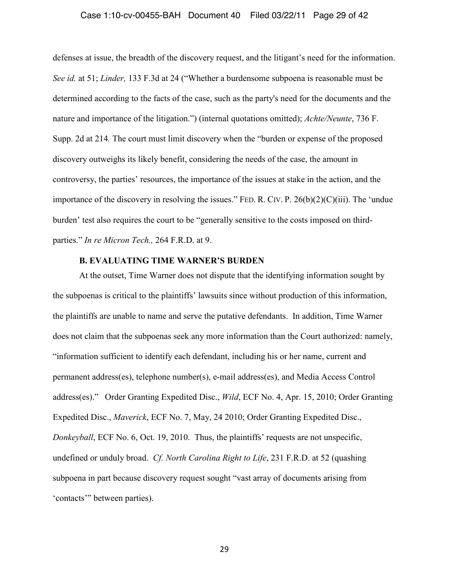### Case 1:10-cv-00455-BAH Document 40 Filed 03/22/11 Page 29 of 42

defenses at issue, the breadth of the discovery request, and the litigant's need for the information. *See id.* at 51; *Linder,* 133 F.3d at 24 ("Whether a burdensome subpoena is reasonable must be determined according to the facts of the case, such as the party's need for the documents and the nature and importance of the litigation.") (internal quotations omitted); *Achte/Neunte*, 736 F. Supp. 2d at 214*.* The court must limit discovery when the "burden or expense of the proposed discovery outweighs its likely benefit, considering the needs of the case, the amount in controversy, the parties' resources, the importance of the issues at stake in the action, and the importance of the discovery in resolving the issues." FED. R. CIV. P.  $26(b)(2)(C)(iii)$ . The 'undue burden' test also requires the court to be "generally sensitive to the costs imposed on thirdparties." *In re Micron Tech.,* 264 F.R.D. at 9.

## **B. EVALUATING TIME WARNER'S BURDEN**

At the outset, Time Warner does not dispute that the identifying information sought by the subpoenas is critical to the plaintiffs' lawsuits since without production of this information, the plaintiffs are unable to name and serve the putative defendants. In addition, Time Warner does not claim that the subpoenas seek any more information than the Court authorized: namely, "information sufficient to identify each defendant, including his or her name, current and permanent address(es), telephone number(s), e-mail address(es), and Media Access Control address(es)." Order Granting Expedited Disc., *Wild*, ECF No. 4, Apr. 15, 2010; Order Granting Expedited Disc., *Maverick*, ECF No. 7, May, 24 2010; Order Granting Expedited Disc., *Donkeyball*, ECF No. 6, Oct. 19, 2010. Thus, the plaintiffs' requests are not unspecific, undefined or unduly broad. *Cf. North Carolina Right to Life*, 231 F.R.D. at 52 (quashing subpoena in part because discovery request sought "vast array of documents arising from 'contacts'" between parties).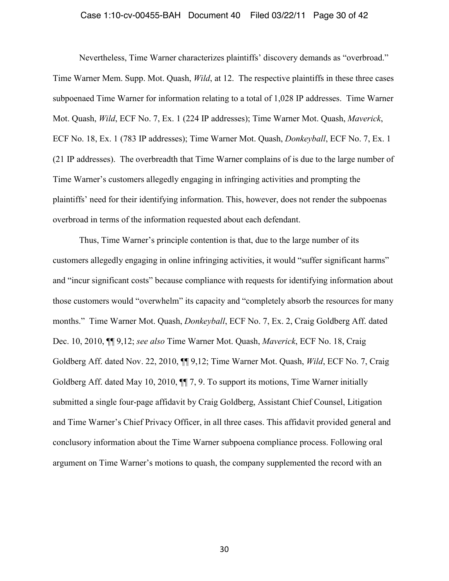### Case 1:10-cv-00455-BAH Document 40 Filed 03/22/11 Page 30 of 42

Nevertheless, Time Warner characterizes plaintiffs' discovery demands as "overbroad." Time Warner Mem. Supp. Mot. Quash, *Wild*, at 12. The respective plaintiffs in these three cases subpoenaed Time Warner for information relating to a total of 1,028 IP addresses. Time Warner Mot. Quash, *Wild*, ECF No. 7, Ex. 1 (224 IP addresses); Time Warner Mot. Quash, *Maverick*, ECF No. 18, Ex. 1 (783 IP addresses); Time Warner Mot. Quash, *Donkeyball*, ECF No. 7, Ex. 1 (21 IP addresses). The overbreadth that Time Warner complains of is due to the large number of Time Warner's customers allegedly engaging in infringing activities and prompting the plaintiffs' need for their identifying information. This, however, does not render the subpoenas overbroad in terms of the information requested about each defendant.

Thus, Time Warner's principle contention is that, due to the large number of its customers allegedly engaging in online infringing activities, it would "suffer significant harms" and "incur significant costs" because compliance with requests for identifying information about those customers would "overwhelm" its capacity and "completely absorb the resources for many months." Time Warner Mot. Quash, *Donkeyball*, ECF No. 7, Ex. 2, Craig Goldberg Aff. dated Dec. 10, 2010, ¶¶ 9,12; *see also* Time Warner Mot. Quash, *Maverick*, ECF No. 18, Craig Goldberg Aff. dated Nov. 22, 2010, ¶¶ 9,12; Time Warner Mot. Quash, *Wild*, ECF No. 7, Craig Goldberg Aff. dated May 10, 2010,  $\P$  7, 9. To support its motions, Time Warner initially submitted a single four-page affidavit by Craig Goldberg, Assistant Chief Counsel, Litigation and Time Warner's Chief Privacy Officer, in all three cases. This affidavit provided general and conclusory information about the Time Warner subpoena compliance process. Following oral argument on Time Warner's motions to quash, the company supplemented the record with an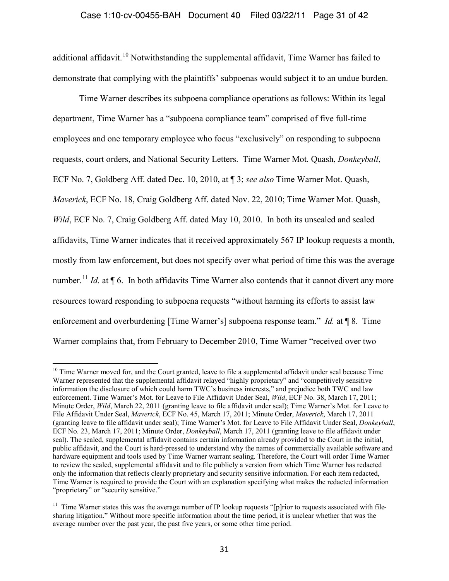# Case 1:10-cv-00455-BAH Document 40 Filed 03/22/11 Page 31 of 42

additional affidavit.<sup>[10](#page-27-0)</sup> Notwithstanding the supplemental affidavit. Time Warner has failed to demonstrate that complying with the plaintiffs' subpoenas would subject it to an undue burden.

Time Warner describes its subpoena compliance operations as follows: Within its legal department, Time Warner has a "subpoena compliance team" comprised of five full-time employees and one temporary employee who focus "exclusively" on responding to subpoena requests, court orders, and National Security Letters. Time Warner Mot. Quash, *Donkeyball*, ECF No. 7, Goldberg Aff. dated Dec. 10, 2010, at ¶ 3; *see also* Time Warner Mot. Quash, *Maverick*, ECF No. 18, Craig Goldberg Aff. dated Nov. 22, 2010; Time Warner Mot. Quash, *Wild*, ECF No. 7, Craig Goldberg Aff. dated May 10, 2010. In both its unsealed and sealed affidavits, Time Warner indicates that it received approximately 567 IP lookup requests a month, mostly from law enforcement, but does not specify over what period of time this was the average number.<sup>[11](#page-30-0)</sup> *Id.* at  $\P$  6. In both affidavits Time Warner also contends that it cannot divert any more resources toward responding to subpoena requests "without harming its efforts to assist law enforcement and overburdening [Time Warner's] subpoena response team." *Id.* at ¶ 8. Time Warner complains that, from February to December 2010, Time Warner "received over two

 $10$  Time Warner moved for, and the Court granted, leave to file a supplemental affidavit under seal because Time Warner represented that the supplemental affidavit relayed "highly proprietary" and "competitively sensitive information the disclosure of which could harm TWC's business interests," and prejudice both TWC and law enforcement. Time Warner's Mot. for Leave to File Affidavit Under Seal, *Wild*, ECF No. 38, March 17, 2011; Minute Order, *Wild*, March 22, 2011 (granting leave to file affidavit under seal); Time Warner's Mot. for Leave to File Affidavit Under Seal, *Maverick*, ECF No. 45, March 17, 2011; Minute Order, *Maverick*, March 17, 2011 (granting leave to file affidavit under seal); Time Warner's Mot. for Leave to File Affidavit Under Seal, *Donkeyball*, ECF No. 23, March 17, 2011; Minute Order, *Donkeyball*, March 17, 2011 (granting leave to file affidavit under seal). The sealed, supplemental affidavit contains certain information already provided to the Court in the initial, public affidavit, and the Court is hard-pressed to understand why the names of commercially available software and hardware equipment and tools used by Time Warner warrant sealing. Therefore, the Court will order Time Warner to review the sealed, supplemental affidavit and to file publicly a version from which Time Warner has redacted only the information that reflects clearly proprietary and security sensitive information. For each item redacted, Time Warner is required to provide the Court with an explanation specifying what makes the redacted information "proprietary" or "security sensitive."

<span id="page-30-1"></span><span id="page-30-0"></span> $11$  Time Warner states this was the average number of IP lookup requests "[p]rior to requests associated with filesharing litigation." Without more specific information about the time period, it is unclear whether that was the average number over the past year, the past five years, or some other time period.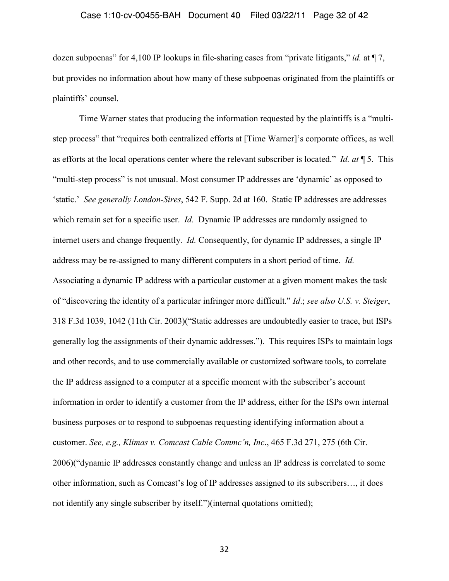### Case 1:10-cv-00455-BAH Document 40 Filed 03/22/11 Page 32 of 42

dozen subpoenas" for 4,100 IP lookups in file-sharing cases from "private litigants," *id.* at ¶ 7, but provides no information about how many of these subpoenas originated from the plaintiffs or plaintiffs' counsel.

Time Warner states that producing the information requested by the plaintiffs is a "multistep process" that "requires both centralized efforts at [Time Warner]'s corporate offices, as well as efforts at the local operations center where the relevant subscriber is located." *Id. at* ¶ 5. This "multi-step process" is not unusual. Most consumer IP addresses are 'dynamic' as opposed to 'static.' *See generally London-Sires*, 542 F. Supp. 2d at 160. Static IP addresses are addresses which remain set for a specific user. *Id.* Dynamic IP addresses are randomly assigned to internet users and change frequently. *Id.* Consequently, for dynamic IP addresses, a single IP address may be re-assigned to many different computers in a short period of time. *Id.* Associating a dynamic IP address with a particular customer at a given moment makes the task of "discovering the identity of a particular infringer more difficult." *Id*.; *see also U.S. v. Steiger*, 318 F.3d 1039, 1042 (11th Cir. 2003)("Static addresses are undoubtedly easier to trace, but ISPs generally log the assignments of their dynamic addresses."). This requires ISPs to maintain logs and other records, and to use commercially available or customized software tools, to correlate the IP address assigned to a computer at a specific moment with the subscriber's account information in order to identify a customer from the IP address, either for the ISPs own internal business purposes or to respond to subpoenas requesting identifying information about a customer. *See, e.g., Klimas v. Comcast Cable Commc'n, Inc*., 465 F.3d 271, 275 (6th Cir. 2006)("dynamic IP addresses constantly change and unless an IP address is correlated to some other information, such as Comcast's log of IP addresses assigned to its subscribers…, it does not identify any single subscriber by itself.")(internal quotations omitted);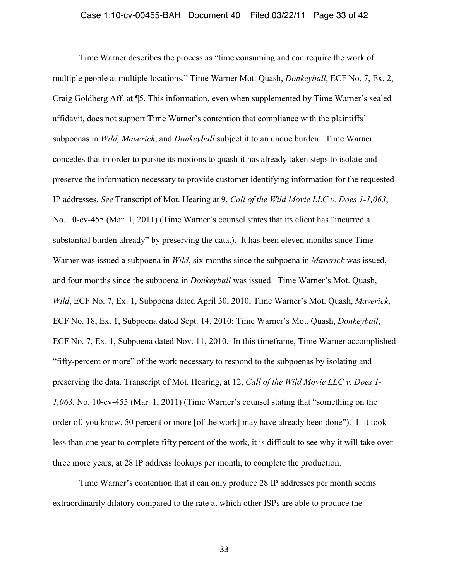Time Warner describes the process as "time consuming and can require the work of multiple people at multiple locations." Time Warner Mot. Quash, *Donkeyball*, ECF No. 7, Ex. 2, Craig Goldberg Aff. at ¶5. This information, even when supplemented by Time Warner's sealed affidavit, does not support Time Warner's contention that compliance with the plaintiffs' subpoenas in *Wild, Maverick*, and *Donkeyball* subject it to an undue burden. Time Warner concedes that in order to pursue its motions to quash it has already taken steps to isolate and preserve the information necessary to provide customer identifying information for the requested IP addresses. *See* Transcript of Mot. Hearing at 9, *Call of the Wild Movie LLC v. Does 1-1,063*, No. 10-cv-455 (Mar. 1, 2011) (Time Warner's counsel states that its client has "incurred a substantial burden already" by preserving the data.). It has been eleven months since Time Warner was issued a subpoena in *Wild*, six months since the subpoena in *Maverick* was issued, and four months since the subpoena in *Donkeyball* was issued. Time Warner's Mot. Quash, *Wild*, ECF No. 7, Ex. 1, Subpoena dated April 30, 2010; Time Warner's Mot. Quash, *Maverick*, ECF No. 18, Ex. 1, Subpoena dated Sept. 14, 2010; Time Warner's Mot. Quash, *Donkeyball*, ECF No. 7, Ex. 1, Subpoena dated Nov. 11, 2010. In this timeframe, Time Warner accomplished "fifty-percent or more" of the work necessary to respond to the subpoenas by isolating and preserving the data. Transcript of Mot. Hearing, at 12, *Call of the Wild Movie LLC v. Does 1- 1,063*, No. 10-cv-455 (Mar. 1, 2011) (Time Warner's counsel stating that "something on the order of, you know, 50 percent or more [of the work] may have already been done"). If it took less than one year to complete fifty percent of the work, it is difficult to see why it will take over three more years, at 28 IP address lookups per month, to complete the production.

Time Warner's contention that it can only produce 28 IP addresses per month seems extraordinarily dilatory compared to the rate at which other ISPs are able to produce the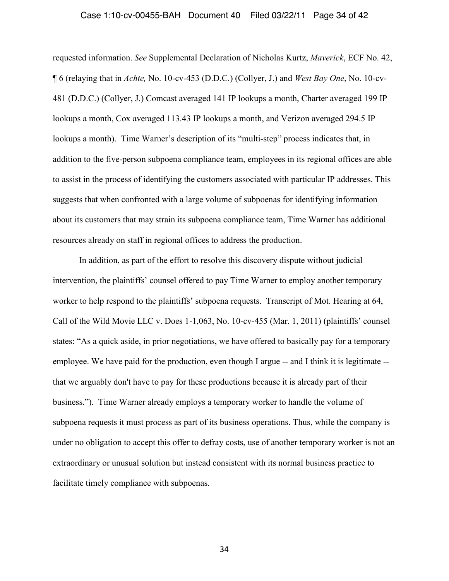#### Case 1:10-cv-00455-BAH Document 40 Filed 03/22/11 Page 34 of 42

requested information. *See* Supplemental Declaration of Nicholas Kurtz, *Maverick*, ECF No. 42, ¶ 6 (relaying that in *Achte,* No. 10-cv-453 (D.D.C.) (Collyer, J.) and *West Bay One*, No. 10-cv-481 (D.D.C.) (Collyer, J.) Comcast averaged 141 IP lookups a month, Charter averaged 199 IP lookups a month, Cox averaged 113.43 IP lookups a month, and Verizon averaged 294.5 IP lookups a month). Time Warner's description of its "multi-step" process indicates that, in addition to the five-person subpoena compliance team, employees in its regional offices are able to assist in the process of identifying the customers associated with particular IP addresses. This suggests that when confronted with a large volume of subpoenas for identifying information about its customers that may strain its subpoena compliance team, Time Warner has additional resources already on staff in regional offices to address the production.

In addition, as part of the effort to resolve this discovery dispute without judicial intervention, the plaintiffs' counsel offered to pay Time Warner to employ another temporary worker to help respond to the plaintiffs' subpoena requests. Transcript of Mot. Hearing at 64, Call of the Wild Movie LLC v. Does 1-1,063, No. 10-cv-455 (Mar. 1, 2011) (plaintiffs' counsel states: "As a quick aside, in prior negotiations, we have offered to basically pay for a temporary employee. We have paid for the production, even though I argue -- and I think it is legitimate - that we arguably don't have to pay for these productions because it is already part of their business."). Time Warner already employs a temporary worker to handle the volume of subpoena requests it must process as part of its business operations. Thus, while the company is under no obligation to accept this offer to defray costs, use of another temporary worker is not an extraordinary or unusual solution but instead consistent with its normal business practice to facilitate timely compliance with subpoenas.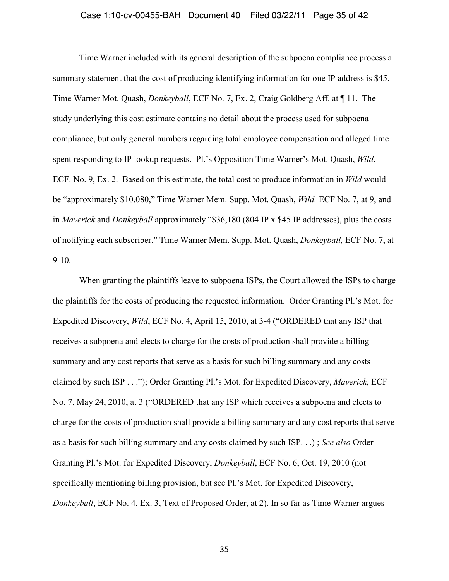#### Case 1:10-cv-00455-BAH Document 40 Filed 03/22/11 Page 35 of 42

Time Warner included with its general description of the subpoena compliance process a summary statement that the cost of producing identifying information for one IP address is \$45. Time Warner Mot. Quash, *Donkeyball*, ECF No. 7, Ex. 2, Craig Goldberg Aff. at ¶ 11. The study underlying this cost estimate contains no detail about the process used for subpoena compliance, but only general numbers regarding total employee compensation and alleged time spent responding to IP lookup requests. Pl.'s Opposition Time Warner's Mot. Quash, *Wild*, ECF. No. 9, Ex. 2. Based on this estimate, the total cost to produce information in *Wild* would be "approximately \$10,080," Time Warner Mem. Supp. Mot. Quash, *Wild,* ECF No. 7, at 9, and in *Maverick* and *Donkeyball* approximately "\$36,180 (804 IP x \$45 IP addresses), plus the costs of notifying each subscriber." Time Warner Mem. Supp. Mot. Quash, *Donkeyball,* ECF No. 7, at 9-10.

When granting the plaintiffs leave to subpoena ISPs, the Court allowed the ISPs to charge the plaintiffs for the costs of producing the requested information. Order Granting Pl.'s Mot. for Expedited Discovery, *Wild*, ECF No. 4, April 15, 2010, at 3-4 ("ORDERED that any ISP that receives a subpoena and elects to charge for the costs of production shall provide a billing summary and any cost reports that serve as a basis for such billing summary and any costs claimed by such ISP . . ."); Order Granting Pl.'s Mot. for Expedited Discovery, *Maverick*, ECF No. 7, May 24, 2010, at 3 ("ORDERED that any ISP which receives a subpoena and elects to charge for the costs of production shall provide a billing summary and any cost reports that serve as a basis for such billing summary and any costs claimed by such ISP. . .) ; *See also* Order Granting Pl.'s Mot. for Expedited Discovery, *Donkeyball*, ECF No. 6, Oct. 19, 2010 (not specifically mentioning billing provision, but see Pl.'s Mot. for Expedited Discovery, *Donkeyball*, ECF No. 4, Ex. 3, Text of Proposed Order, at 2). In so far as Time Warner argues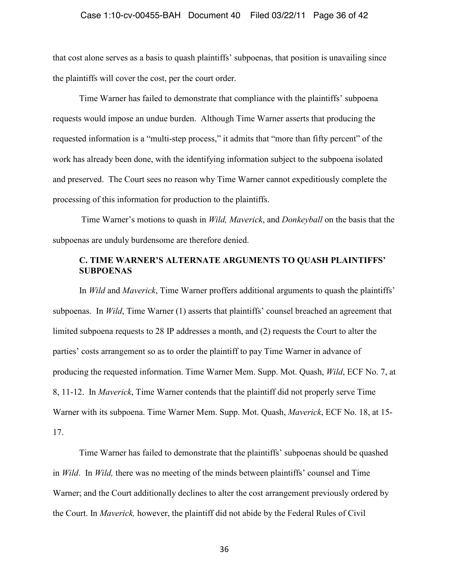### Case 1:10-cv-00455-BAH Document 40 Filed 03/22/11 Page 36 of 42

that cost alone serves as a basis to quash plaintiffs' subpoenas, that position is unavailing since the plaintiffs will cover the cost, per the court order.

Time Warner has failed to demonstrate that compliance with the plaintiffs' subpoena requests would impose an undue burden. Although Time Warner asserts that producing the requested information is a "multi-step process," it admits that "more than fifty percent" of the work has already been done, with the identifying information subject to the subpoena isolated and preserved. The Court sees no reason why Time Warner cannot expeditiously complete the processing of this information for production to the plaintiffs.

Time Warner's motions to quash in *Wild, Maverick*, and *Donkeyball* on the basis that the subpoenas are unduly burdensome are therefore denied.

# **C. TIME WARNER'S ALTERNATE ARGUMENTS TO QUASH PLAINTIFFS' SUBPOENAS**

In *Wild* and *Maverick*, Time Warner proffers additional arguments to quash the plaintiffs' subpoenas. In *Wild*, Time Warner (1) asserts that plaintiffs' counsel breached an agreement that limited subpoena requests to 28 IP addresses a month, and (2) requests the Court to alter the parties' costs arrangement so as to order the plaintiff to pay Time Warner in advance of producing the requested information. Time Warner Mem. Supp. Mot. Quash, *Wild*, ECF No. 7, at 8, 11-12. In *Maverick*, Time Warner contends that the plaintiff did not properly serve Time Warner with its subpoena. Time Warner Mem. Supp. Mot. Quash, *Maverick*, ECF No. 18, at 15- 17.

Time Warner has failed to demonstrate that the plaintiffs' subpoenas should be quashed in *Wild*. In *Wild,* there was no meeting of the minds between plaintiffs' counsel and Time Warner; and the Court additionally declines to alter the cost arrangement previously ordered by the Court. In *Maverick,* however, the plaintiff did not abide by the Federal Rules of Civil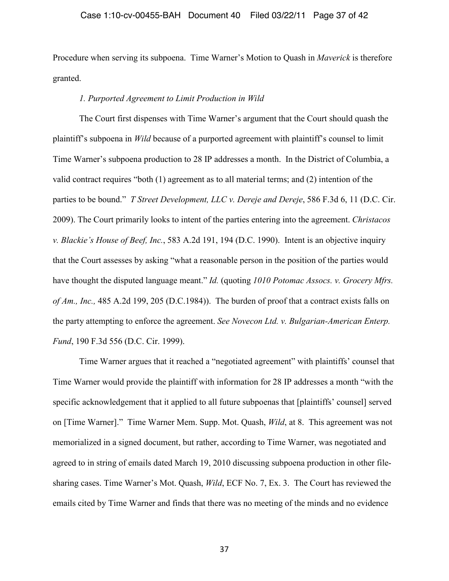Procedure when serving its subpoena. Time Warner's Motion to Quash in *Maverick* is therefore granted.

### *1. Purported Agreement to Limit Production in Wild*

The Court first dispenses with Time Warner's argument that the Court should quash the plaintiff's subpoena in *Wild* because of a purported agreement with plaintiff's counsel to limit Time Warner's subpoena production to 28 IP addresses a month. In the District of Columbia, a valid contract requires "both (1) agreement as to all material terms; and (2) intention of the parties to be bound." *T Street Development, LLC v. Dereje and Dereje*, 586 F.3d 6, 11 (D.C. Cir. 2009). The Court primarily looks to intent of the parties entering into the agreement. *Christacos v. Blackie's House of Beef, Inc.*, 583 A.2d 191, 194 (D.C. 1990). Intent is an objective inquiry that the Court assesses by asking "what a reasonable person in the position of the parties would have thought the disputed language meant." *Id.* (quoting *1010 Potomac Assocs. v. Grocery Mfrs. of Am., Inc.,* 485 A.2d 199, 205 (D.C.1984)). The burden of proof that a contract exists falls on the party attempting to enforce the agreement. *See Novecon Ltd. v. Bulgarian-American Enterp. Fund*, 190 F.3d 556 (D.C. Cir. 1999).

Time Warner argues that it reached a "negotiated agreement" with plaintiffs' counsel that Time Warner would provide the plaintiff with information for 28 IP addresses a month "with the specific acknowledgement that it applied to all future subpoenas that [plaintiffs' counsel] served on [Time Warner]." Time Warner Mem. Supp. Mot. Quash, *Wild*, at 8. This agreement was not memorialized in a signed document, but rather, according to Time Warner, was negotiated and agreed to in string of emails dated March 19, 2010 discussing subpoena production in other filesharing cases. Time Warner's Mot. Quash, *Wild*, ECF No. 7, Ex. 3. The Court has reviewed the emails cited by Time Warner and finds that there was no meeting of the minds and no evidence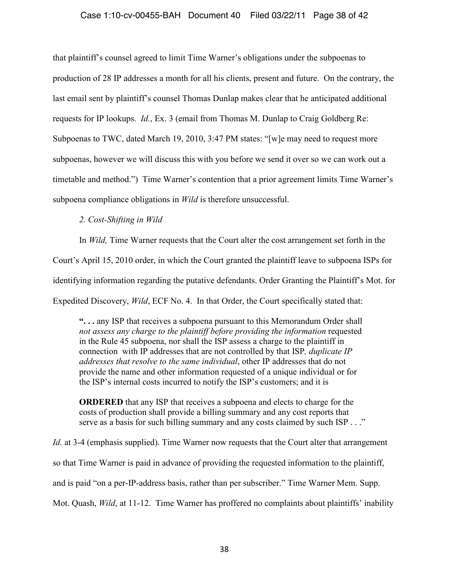# Case 1:10-cv-00455-BAH Document 40 Filed 03/22/11 Page 38 of 42

that plaintiff's counsel agreed to limit Time Warner's obligations under the subpoenas to production of 28 IP addresses a month for all his clients, present and future. On the contrary, the last email sent by plaintiff's counsel Thomas Dunlap makes clear that he anticipated additional requests for IP lookups. *Id.*, Ex. 3 (email from Thomas M. Dunlap to Craig Goldberg Re: Subpoenas to TWC, dated March 19, 2010, 3:47 PM states: "[w]e may need to request more subpoenas, however we will discuss this with you before we send it over so we can work out a timetable and method.") Time Warner's contention that a prior agreement limits Time Warner's subpoena compliance obligations in *Wild* is therefore unsuccessful.

*2. Cost-Shifting in Wild* 

In *Wild,* Time Warner requests that the Court alter the cost arrangement set forth in the

Court's April 15, 2010 order, in which the Court granted the plaintiff leave to subpoena ISPs for

identifying information regarding the putative defendants. Order Granting the Plaintiff's Mot. for

Expedited Discovery, *Wild*, ECF No. 4. In that Order, the Court specifically stated that:

**". . .** any ISP that receives a subpoena pursuant to this Memorandum Order shall *not assess any charge to the plaintiff before providing the information* requested in the Rule 45 subpoena, nor shall the ISP assess a charge to the plaintiff in connection with IP addresses that are not controlled by that ISP*, duplicate IP addresses that resolve to the same individual*, other IP addresses that do not provide the name and other information requested of a unique individual or for the ISP's internal costs incurred to notify the ISP's customers; and it is

**ORDERED** that any ISP that receives a subpoena and elects to charge for the costs of production shall provide a billing summary and any cost reports that serve as a basis for such billing summary and any costs claimed by such ISP . . ."

*Id.* at 3-4 (emphasis supplied). Time Warner now requests that the Court alter that arrangement so that Time Warner is paid in advance of providing the requested information to the plaintiff, and is paid "on a per-IP-address basis, rather than per subscriber." Time Warner Mem. Supp. Mot. Quash, *Wild*, at 11-12. Time Warner has proffered no complaints about plaintiffs' inability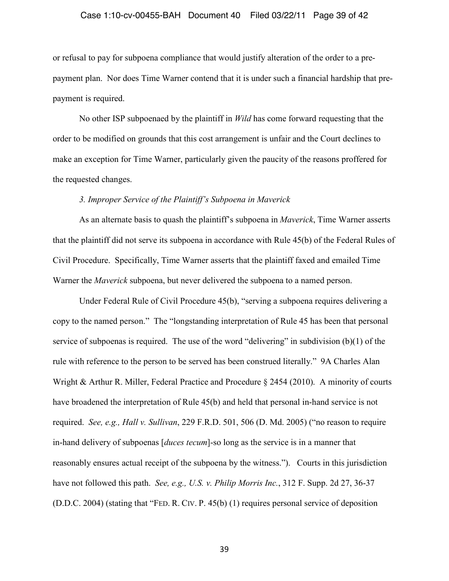### Case 1:10-cv-00455-BAH Document 40 Filed 03/22/11 Page 39 of 42

or refusal to pay for subpoena compliance that would justify alteration of the order to a prepayment plan. Nor does Time Warner contend that it is under such a financial hardship that prepayment is required.

No other ISP subpoenaed by the plaintiff in *Wild* has come forward requesting that the order to be modified on grounds that this cost arrangement is unfair and the Court declines to make an exception for Time Warner, particularly given the paucity of the reasons proffered for the requested changes.

### *3. Improper Service of the Plaintiff's Subpoena in Maverick*

As an alternate basis to quash the plaintiff's subpoena in *Maverick*, Time Warner asserts that the plaintiff did not serve its subpoena in accordance with Rule 45(b) of the Federal Rules of Civil Procedure. Specifically, Time Warner asserts that the plaintiff faxed and emailed Time Warner the *Maverick* subpoena, but never delivered the subpoena to a named person.

Under Federal Rule of Civil Procedure 45(b), "serving a subpoena requires delivering a copy to the named person." The "longstanding interpretation of Rule 45 has been that personal service of subpoenas is required. The use of the word "delivering" in subdivision (b)(1) of the rule with reference to the person to be served has been construed literally." 9A Charles Alan Wright & Arthur R. Miller, Federal Practice and Procedure § 2454 (2010). A minority of courts have broadened the interpretation of Rule 45(b) and held that personal in-hand service is not required. *See, e.g., Hall v. Sullivan*, 229 F.R.D. 501, 506 (D. Md. 2005) ("no reason to require in-hand delivery of subpoenas [*duces tecum*]-so long as the service is in a manner that reasonably ensures actual receipt of the subpoena by the witness."). Courts in this jurisdiction have not followed this path. *See, e.g., U.S. v. Philip Morris Inc.*, 312 F. Supp. 2d 27, 36-37 (D.D.C. 2004) (stating that "FED. R. CIV. P. 45(b) (1) requires personal service of deposition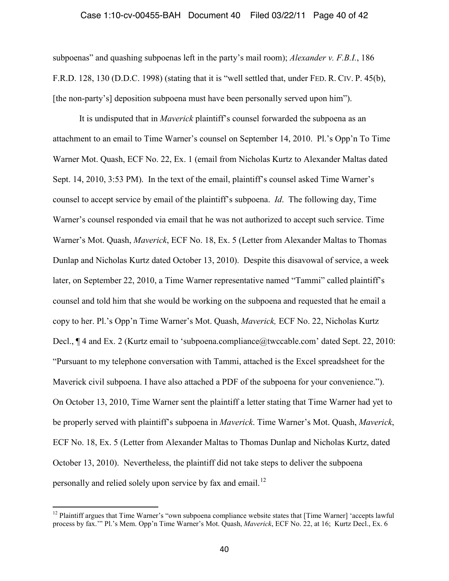#### Case 1:10-cv-00455-BAH Document 40 Filed 03/22/11 Page 40 of 42

subpoenas" and quashing subpoenas left in the party's mail room); *Alexander v. F.B.I.*, 186 F.R.D. 128, 130 (D.D.C. 1998) (stating that it is "well settled that, under FED. R. CIV. P. 45(b), [the non-party's] deposition subpoena must have been personally served upon him").

It is undisputed that in *Maverick* plaintiff's counsel forwarded the subpoena as an attachment to an email to Time Warner's counsel on September 14, 2010. Pl.'s Opp'n To Time Warner Mot. Quash, ECF No. 22, Ex. 1 (email from Nicholas Kurtz to Alexander Maltas dated Sept. 14, 2010, 3:53 PM). In the text of the email, plaintiff's counsel asked Time Warner's counsel to accept service by email of the plaintiff's subpoena. *Id*. The following day, Time Warner's counsel responded via email that he was not authorized to accept such service. Time Warner's Mot. Quash, *Maverick*, ECF No. 18, Ex. 5 (Letter from Alexander Maltas to Thomas Dunlap and Nicholas Kurtz dated October 13, 2010). Despite this disavowal of service, a week later, on September 22, 2010, a Time Warner representative named "Tammi" called plaintiff's counsel and told him that she would be working on the subpoena and requested that he email a copy to her. Pl.'s Opp'n Time Warner's Mot. Quash, *Maverick,* ECF No. 22, Nicholas Kurtz Decl.,  $\P$  4 and Ex. 2 (Kurtz email to 'subpoena.compliance@twccable.com' dated Sept. 22, 2010: "Pursuant to my telephone conversation with Tammi, attached is the Excel spreadsheet for the Maverick civil subpoena. I have also attached a PDF of the subpoena for your convenience."). On October 13, 2010, Time Warner sent the plaintiff a letter stating that Time Warner had yet to be properly served with plaintiff's subpoena in *Maverick*. Time Warner's Mot. Quash, *Maverick*, ECF No. 18, Ex. 5 (Letter from Alexander Maltas to Thomas Dunlap and Nicholas Kurtz, dated October 13, 2010). Nevertheless, the plaintiff did not take steps to deliver the subpoena personally and relied solely upon service by fax and email.<sup>[12](#page-30-1)</sup>

 $12$  Plaintiff argues that Time Warner's "own subpoena compliance website states that [Time Warner] 'accepts lawful process by fax.'" Pl.'s Mem. Opp'n Time Warner's Mot. Quash, *Maverick*, ECF No. 22, at 16; Kurtz Decl., Ex. 6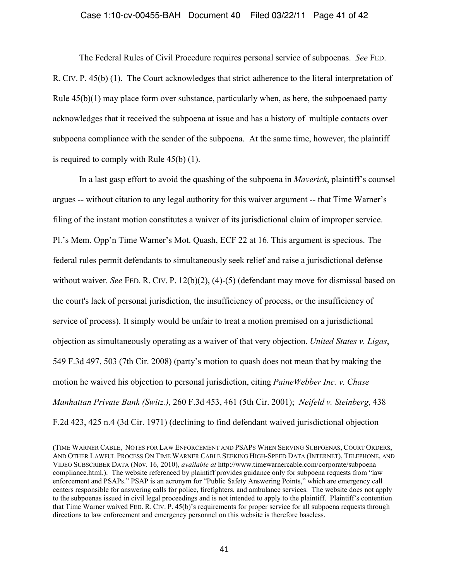### Case 1:10-cv-00455-BAH Document 40 Filed 03/22/11 Page 41 of 42

The Federal Rules of Civil Procedure requires personal service of subpoenas. *See* FED. R. CIV. P. 45(b) (1). The Court acknowledges that strict adherence to the literal interpretation of Rule  $45(b)(1)$  may place form over substance, particularly when, as here, the subpoenaed party acknowledges that it received the subpoena at issue and has a history of multiple contacts over subpoena compliance with the sender of the subpoena. At the same time, however, the plaintiff is required to comply with Rule 45(b) (1).

In a last gasp effort to avoid the quashing of the subpoena in *Maverick*, plaintiff's counsel argues -- without citation to any legal authority for this waiver argument -- that Time Warner's filing of the instant motion constitutes a waiver of its jurisdictional claim of improper service. Pl.'s Mem. Opp'n Time Warner's Mot. Quash, ECF 22 at 16. This argument is specious. The federal rules permit defendants to simultaneously seek relief and raise a jurisdictional defense without waiver. *See* FED. R. CIV. P. 12(b)(2), [\(4\)-\(5\)](https://www.lexis.com/research/buttonTFLink?_m=11b87664a977223763859e8d53012a0a&_xfercite=%3ccite%20cc%3d%22USA%22%3e%3c%21%5bCDATA%5b549%20F.3d%20497%5d%5d%3e%3c%2fcite%3e&_butType=4&_butStat=0&_butNum=18&_butInline=1&_butinfo=FED.%20R.%20CIV.%20P.%2012&_fmtstr=FULL&docnum=25&_startdoc=21&wchp=dGLzVtz-zSkAz&_md5=aa48e1b11ad36b1f66ff3f886d31e926) (defendant may move for dismissal based on the court's lack of personal jurisdiction, the insufficiency of process, or the insufficiency of service of process). It simply would be unfair to treat a motion premised on a jurisdictional objection as simultaneously operating as a waiver of that very objection. *United States v. Ligas*, 549 F.3d 497, 503 (7th Cir. 2008) (party's motion to quash does not mean that by making the motion he waived his objection to personal jurisdiction, citing *PaineWebber Inc. v. Chase Manhattan Private Bank (Switz.)*, 260 F.3d 453, 461 (5th Cir. 2001); *Neifeld v. Steinberg*, 438 F.2d 423, 425 n.4 (3d Cir. 1971) (declining to find defendant waived jurisdictional objection

<u> 1989 - Andrea Santa Andrea Andrea Andrea Andrea Andrea Andrea Andrea Andrea Andrea Andrea Andrea Andrea Andr</u>

<sup>(</sup>TIME WARNER CABLE, NOTES FOR LAW ENFORCEMENT AND PSAPS WHEN SERVING SUBPOENAS, COURT ORDERS, AND OTHER LAWFUL PROCESS ON TIME WARNER CABLE SEEKING HIGH-SPEED DATA (INTERNET), TELEPHONE, AND VIDEO SUBSCRIBER DATA (Nov. 16, 2010), *available at* http://www.timewarnercable.com/corporate/subpoena compliance.html.). The website referenced by plaintiff provides guidance only for subpoena requests from "law enforcement and PSAPs." PSAP is an acronym for "Public Safety Answering Points," which are emergency call centers responsible for answering calls for police, firefighters, and ambulance services. The website does not apply to the subpoenas issued in civil legal proceedings and is not intended to apply to the plaintiff. Plaintiff's contention that Time Warner waived FED. R. CIV. P. 45(b)'s requirements for proper service for all subpoena requests through directions to law enforcement and emergency personnel on this website is therefore baseless.